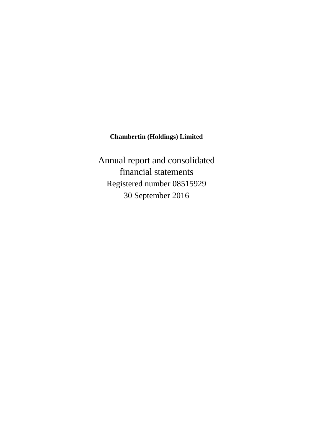# **Chambertin (Holdings) Limited**

Annual report and consolidated financial statements Registered number 08515929 30 September 2016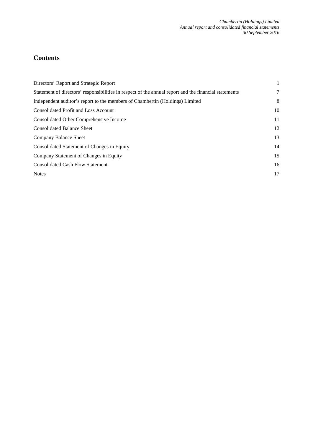# **Contents**

| Directors' Report and Strategic Report                                                                | $\mathbf{1}$ |
|-------------------------------------------------------------------------------------------------------|--------------|
| Statement of directors' responsibilities in respect of the annual report and the financial statements | 7            |
| Independent auditor's report to the members of Chambertin (Holdings) Limited                          | 8            |
| <b>Consolidated Profit and Loss Account</b>                                                           | 10           |
| Consolidated Other Comprehensive Income                                                               | 11           |
| <b>Consolidated Balance Sheet</b>                                                                     | 12           |
| Company Balance Sheet                                                                                 | 13           |
| Consolidated Statement of Changes in Equity                                                           | 14           |
| Company Statement of Changes in Equity                                                                | 15           |
| <b>Consolidated Cash Flow Statement</b>                                                               | 16           |
| <b>Notes</b>                                                                                          | 17           |
|                                                                                                       |              |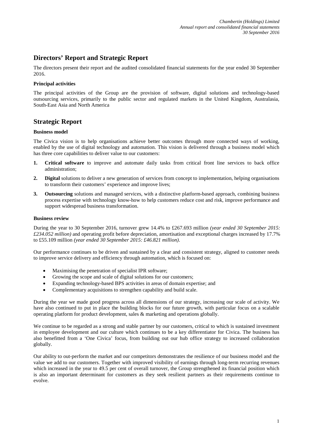# **Directors' Report and Strategic Report**

The directors present their report and the audited consolidated financial statements for the year ended 30 September 2016.

#### **Principal activities**

The principal activities of the Group are the provision of software, digital solutions and technology-based outsourcing services, primarily to the public sector and regulated markets in the United Kingdom, Australasia, South-East Asia and North America

# **Strategic Report**

#### **Business model**

The Civica vision is to help organisations achieve better outcomes through more connected ways of working, enabled by the use of digital technology and automation. This vision is delivered through a business model which has three core capabilities to deliver value to our customers:

- **1. Critical software** to improve and automate daily tasks from critical front line services to back office administration;
- **2. Digital** solutions to deliver a new generation of services from concept to implementation, helping organisations to transform their customers' experience and improve lives;
- **3. Outsourcing** solutions and managed services, with a distinctive platform-based approach, combining business process expertise with technology know-how to help customers reduce cost and risk, improve performance and support widespread business transformation.

#### **Business review**

During the year to 30 September 2016, turnover grew 14.4% to £267.693 million *(year ended 30 September 2015: £234.052 million)* and operating profit before depreciation, amortisation and exceptional charges increased by 17.7% to £55.109 million *(year ended 30 September 2015: £46.821 million)*.

Our performance continues to be driven and sustained by a clear and consistent strategy, aligned to customer needs to improve service delivery and efficiency through automation, which is focused on:

- Maximising the penetration of specialist IPR software;
- Growing the scope and scale of digital solutions for our customers;
- Expanding technology-based BPS activities in areas of domain expertise; and
- Complementary acquisitions to strengthen capability and build scale.

During the year we made good progress across all dimensions of our strategy, increasing our scale of activity. We have also continued to put in place the building blocks for our future growth, with particular focus on a scalable operating platform for product development, sales & marketing and operations globally.

We continue to be regarded as a strong and stable partner by our customers, critical to which is sustained investment in employee development and our culture which continues to be a key differentiator for Civica. The business has also benefitted from a 'One Civica' focus, from building out our hub office strategy to increased collaboration globally.

Our ability to out-perform the market and our competitors demonstrates the resilience of our business model and the value we add to our customers. Together with improved visibility of earnings through long-term recurring revenues which increased in the year to 49.5 per cent of overall turnover, the Group strengthened its financial position which is also an important determinant for customers as they seek resilient partners as their requirements continue to evolve.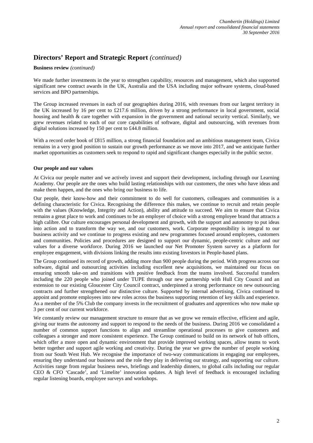#### **Business review** *(continued)*

We made further investments in the year to strengthen capability, resources and management, which also supported significant new contract awards in the UK, Australia and the USA including major software systems, cloud-based services and BPO partnerships.

The Group increased revenues in each of our geographies during 2016, with revenues from our largest territory in the UK increased by 16 per cent to £217.6 million, driven by a strong performance in local government, social housing and health & care together with expansion in the government and national security vertical. Similarly, we grew revenues related to each of our core capabilities of software, digital and outsourcing, with revenues from digital solutions increased by 150 per cent to £44.8 million.

With a record order book of £815 million, a strong financial foundation and an ambitious management team, Civica remains in a very good position to sustain our growth performance as we move into 2017, and we anticipate further market opportunities as customers seek to respond to rapid and significant changes especially in the public sector.

#### **Our people and our values**

At Civica our people matter and we actively invest and support their development, including through our Learning Academy. Our people are the ones who build lasting relationships with our customers, the ones who have ideas and make them happen, and the ones who bring our business to life.

Our people, their know-how and their commitment to do well for customers, colleagues and communities is a defining characteristic for Civica. Recognising the difference this makes, we continue to recruit and retain people with the values (Knowledge, Integrity and Action), ability and attitude to succeed. We aim to ensure that Civica remains a great place to work and continues to be an employer of choice with a strong employee brand that attracts a high calibre. Our culture encourages personal development and growth, with the support and autonomy to put ideas into action and to transform the way we, and our customers, work. Corporate responsibility is integral to our business activity and we continue to progress existing and new programmes focused around employees, customers and communities. Policies and procedures are designed to support our dynamic, people-centric culture and our values for a diverse workforce. During 2016 we launched our Net Promoter System survey as a platform for employee engagement, with divisions linking the results into existing Investors in People-based plans.

The Group continued its record of growth, adding more than 900 people during the period. With progress across our software, digital and outsourcing activities including excellent new acquisitions, we maintained our focus on ensuring smooth take-on and transitions with positive feedback from the teams involved. Successful transfers including the 220 people who joined under TUPE through our new partnership with Hull City Council and an extension to our existing Gloucester City Council contract, underpinned a strong performance on new outsourcing contracts and further strengthened our distinctive culture. Supported by internal advertising, Civica continued to appoint and promote employees into new roles across the business supporting retention of key skills and experience. As a member of the 5% Club the company invests in the recruitment of graduates and apprentices who now make up 3 per cent of our current workforce.

We constantly review our management structure to ensure that as we grow we remain effective, efficient and agile, giving our teams the autonomy and support to respond to the needs of the business. During 2016 we consolidated a number of common support functions to align and streamline operational processes to give customers and colleagues a stronger and more consistent experience. The Group continued to build on its network of hub offices, which offer a more open and dynamic environment that provide improved working spaces, allow teams to work better together and support agile working and creativity. During the year we grew the number of people working from our South West Hub. We recognise the importance of two-way communications in engaging our employees, ensuring they understand our business and the role they play in delivering our strategy, and supporting our culture. Activities range from regular business news, briefings and leadership dinners, to global calls including our regular CEO & CFO 'Cascade', and 'Limelite' innovation updates. A high level of feedback is encouraged including regular listening boards, employee surveys and workshops.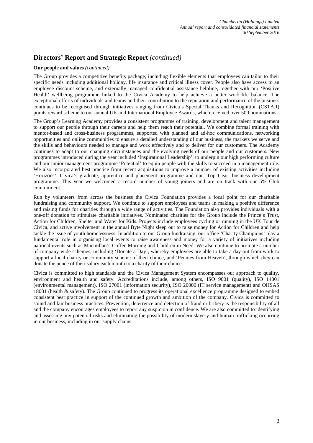#### **Our people and values** *(continued)*

The Group provides a competitive benefits package, including flexible elements that employees can tailor to their specific needs including additional holiday, life insurance and critical illness cover. People also have access to an employee discount scheme, and externally managed confidential assistance helpline, together with our 'Positive Health' wellbeing programme linked to the Civica Academy to help achieve a better work-life balance. The exceptional efforts of individuals and teams and their contribution to the reputation and performance of the business continues to be recognised through initiatives ranging from Civica's Special Thanks and Recognition (CSTAR) points reward scheme to our annual UK and International Employee Awards, which received over 500 nominations.

The Group's Learning Academy provides a consistent programme of training, development and talent management to support our people through their careers and help them reach their potential. We combine formal training with mentor-based and cross-business programmes, supported with planned and ad-hoc communications, networking opportunities and online communities to ensure a detailed understanding of our business, the markets we serve and the skills and behaviours needed to manage and work effectively and to deliver for our customers. The Academy continues to adapt to our changing circumstances and the evolving needs of our people and our customers. New programmes introduced during the year included 'Inspirational Leadership', to underpin our high performing culture and our junior management programme 'Potential' to equip people with the skills to succeed in a management role. We also incorporated best practice from recent acquisitions to improve a number of existing activities including 'Horizons', Civica's graduate, apprentice and placement programme and our 'Top Gear' business development programme. This year we welcomed a record number of young joiners and are on track with our 5% Club commitment.

Run by volunteers from across the business the Civica Foundation provides a focal point for our charitable fundraising and community support. We continue to support employees and teams in making a positive difference and raising funds for charities through a wide range of activities. The Foundation also provides individuals with a one-off donation to stimulate charitable initiatives. Nominated charities for the Group include the Prince's Trust, Action for Children, Shelter and Water for Kids. Projects include employees cycling or running in the UK Tour de Civica, and active involvement in the annual Byte Night sleep out to raise money for Action for Children and help tackle the issue of youth homelessness. In addition to our Group fundraising, our office 'Charity Champions' play a fundamental role in organising local events to raise awareness and money for a variety of initiatives including national events such as Macmillan's Coffee Morning and Children in Need. We also continue to promote a number of company-wide schemes, including 'Donate a Day', whereby employees are able to take a day out from work to support a local charity or community scheme of their choice, and 'Pennies from Heaven', through which they can donate the pence of their salary each month to a charity of their choice.

Civica is committed to high standards and the Civica Management System encompasses our approach to quality, environment and health and safety. Accreditations include, among others, ISO 9001 (quality), ISO 14001 (environmental management), ISO 27001 (information security), ISO 20000 (IT service management) and OHSAS 18001 (health & safety). The Group continued to progress its operational excellence programme designed to embed consistent best practice in support of the continued growth and ambition of the company. Civica is committed to sound and fair business practices. Prevention, deterrence and detection of fraud or bribery is the responsibility of all and the company encourages employees to report any suspicion in confidence. We are also committed to identifying and assessing any potential risks and eliminating the possibility of modern slavery and human trafficking occurring in our business, including in our supply chains.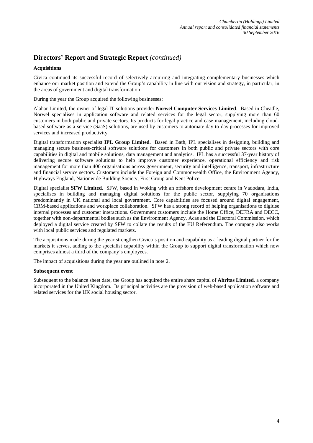#### **Acquisitions**

Civica continued its successful record of selectively acquiring and integrating complementary businesses which enhance our market position and extend the Group's capability in line with our vision and strategy, in particular, in the areas of government and digital transformation

During the year the Group acquired the following businesses:

Alahar Limited, the owner of legal IT solutions provider **Norwel Computer Services Limited**. Based in Cheadle, Norwel specialises in application software and related services for the legal sector, supplying more than 60 customers in both public and private sectors. Its products for legal practice and case management, including cloudbased software-as-a-service (SaaS) solutions, are used by customers to automate day-to-day processes for improved services and increased productivity.

Digital transformation specialist **IPL Group Limited**. Based in Bath, IPL specialises in designing, building and managing secure business-critical software solutions for customers in both public and private sectors with core capabilities in digital and mobile solutions, data management and analytics. IPL has a successful 37-year history of delivering secure software solutions to help improve customer experience, operational efficiency and risk management for more than 400 organisations across government, security and intelligence, transport, infrastructure and financial service sectors. Customers include the Foreign and Commonwealth Office, the Environment Agency, Highways England, Nationwide Building Society, First Group and Kent Police.

Digital specialist **SFW Limited**. SFW, based in Woking with an offshore development centre in Vadodara, India, specialises in building and managing digital solutions for the public sector, supplying 70 organisations predominantly in UK national and local government. Core capabilities are focused around digital engagement, CRM-based applications and workplace collaboration. SFW has a strong record of helping organisations to digitise internal processes and customer interactions. Government customers include the Home Office, DEFRA and DECC, together with non-departmental bodies such as the Environment Agency, Acas and the Electoral Commission, which deployed a digital service created by SFW to collate the results of the EU Referendum. The company also works with local public services and regulated markets.

The acquisitions made during the year strengthen Civica's position and capability as a leading digital partner for the markets it serves, adding to the specialist capability within the Group to support digital transformation which now comprises almost a third of the company's employees.

The impact of acquisitions during the year are outlined in note 2.

### **Subsequent event**

Subsequent to the balance sheet date, the Group has acquired the entire share capital of **Abritas Limited**, a company incorporated in the United Kingdom. Its principal activities are the provision of web-based application software and related services for the UK social housing sector.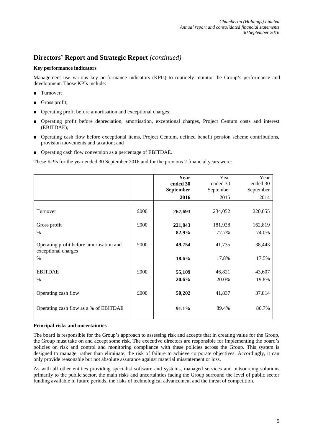### **Key performance indicators**

Management use various key performance indicators (KPIs) to routinely monitor the Group's performance and development. Those KPIs include:

- Turnover;
- Gross profit;
- Operating profit before amortisation and exceptional charges;
- Operating profit before depreciation, amortisation, exceptional charges, Project Centum costs and interest (EBITDAE);
- Operating cash flow before exceptional items, Project Centum, defined benefit pension scheme contributions, provision movements and taxation; and
- Operating cash flow conversion as a percentage of EBITDAE.

These KPIs for the year ended 30 September 2016 and for the previous 2 financial years were:

|                                                                 |      | Year<br>ended 30<br>September | Year<br>ended 30<br>September | Year<br>ended 30<br>September |
|-----------------------------------------------------------------|------|-------------------------------|-------------------------------|-------------------------------|
|                                                                 |      | 2016                          | 2015                          | 2014                          |
| Turnover                                                        | £000 | 267,693                       | 234,052                       | 220,055                       |
| Gross profit                                                    | £000 | 221,843                       | 181,928                       | 162,819                       |
| $\frac{0}{0}$                                                   |      | 82.9%                         | 77.7%                         | 74.0%                         |
| Operating profit before amortisation and<br>exceptional charges | £000 | 49,754                        | 41,735                        | 38,443                        |
| $\frac{0}{0}$                                                   |      | 18.6%                         | 17.8%                         | 17.5%                         |
| <b>EBITDAE</b><br>$\frac{0}{0}$                                 | £000 | 55,109<br>20.6%               | 46,821<br>20.0%               | 43,607<br>19.8%               |
| Operating cash flow                                             | £000 | 50,202                        | 41,837                        | 37,814                        |
| Operating cash flow as a % of EBITDAE                           |      | 91.1%                         | 89.4%                         | 86.7%                         |

#### **Principal risks and uncertainties**

The board is responsible for the Group's approach to assessing risk and accepts that in creating value for the Group, the Group must take on and accept some risk. The executive directors are responsible for implementing the board's policies on risk and control and monitoring compliance with these policies across the Group. This system is designed to manage, rather than eliminate, the risk of failure to achieve corporate objectives. Accordingly, it can only provide reasonable but not absolute assurance against material misstatement or loss.

As with all other entities providing specialist software and systems, managed services and outsourcing solutions primarily to the public sector, the main risks and uncertainties facing the Group surround the level of public sector funding available in future periods, the risks of technological advancement and the threat of competition.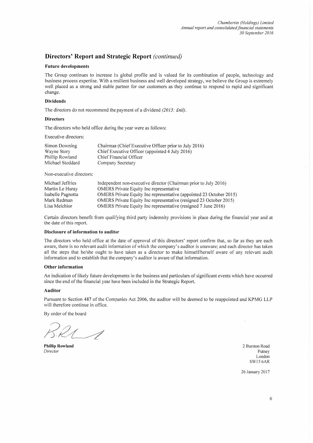#### **Future developments**

The Group continues to increase its global profile and is valued for its combination of people, technology and business process expertise. With a resilient business and well developed strategy, we believe the Group is extremely well placed as a strong and stable partner for our customers as they continue to respond to rapid and significant change.

#### **Dividends**

The directors do not recommend the payment of a dividend  $(2015: \text{Enil})$ .

#### **Directors**

The directors who held office during the year were as follows:

Executive directors:

| Simon Downing    | Chairman (Chief Executive Officer prior to July 2016) |
|------------------|-------------------------------------------------------|
| Wayne Story      | Chief Executive Officer (appointed 4 July 2016)       |
| Phillip Rowland  | Chief Financial Officer                               |
| Michael Stoddard | Company Secretary                                     |

Non-executive directors:

| Michael Jeffries  | Independent non-executive director (Chairman prior to July 2016)    |
|-------------------|---------------------------------------------------------------------|
| Martin Le Huray   | <b>OMERS</b> Private Equity Inc representative                      |
| Isabelle Pagnotta | OMERS Private Equity Inc representative (appointed 23 October 2015) |
| Mark Redman       | OMERS Private Equity Inc representative (resigned 23 October 2015)  |
| Lisa Melchior     | OMERS Private Equity Inc representative (resigned 7 June 2016)      |

Certain directors benefit from qualifying third party indemnity provisions in place during the financial year and at the date of this report.

#### Disclosure of information to auditor

The directors who held office at the date of approval of this directors' report confirm that, so far as they are each aware, there is no relevant audit information of which the company's auditor is unaware; and each director has taken all the steps that he/she ought to have taken as a director to make himself/herself aware of any relevant audit information and to establish that the company's auditor is aware of that information.

#### **Other information**

An indication of likely future developments in the business and particulars of significant events which have occurred since the end of the financial year have been included in the Strategic Report.

#### Auditor

Pursuant to Section 487 of the Companies Act 2006, the auditor will be deemed to be reappointed and KPMG LLP will therefore continue in office.

By order of the board

**Phillip Rowland** Director

2 Burston Road Putney London **SW15 6AR** 

26 January 2017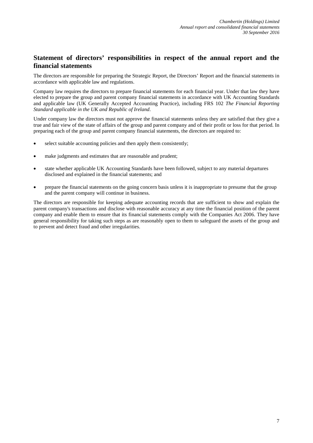# **Statement of directors' responsibilities in respect of the annual report and the financial statements**

The directors are responsible for preparing the Strategic Report, the Directors' Report and the financial statements in accordance with applicable law and regulations.

Company law requires the directors to prepare financial statements for each financial year. Under that law they have elected to prepare the group and parent company financial statements in accordance with UK Accounting Standards and applicable law (UK Generally Accepted Accounting Practice), including FRS 102 *The Financial Reporting Standard applicable in the UK and Republic of Ireland*.

Under company law the directors must not approve the financial statements unless they are satisfied that they give a true and fair view of the state of affairs of the group and parent company and of their profit or loss for that period. In preparing each of the group and parent company financial statements, the directors are required to:

- select suitable accounting policies and then apply them consistently;
- make judgments and estimates that are reasonable and prudent;
- state whether applicable UK Accounting Standards have been followed, subject to any material departures disclosed and explained in the financial statements; and
- prepare the financial statements on the going concern basis unless it is inappropriate to presume that the group and the parent company will continue in business.

The directors are responsible for keeping adequate accounting records that are sufficient to show and explain the parent company's transactions and disclose with reasonable accuracy at any time the financial position of the parent company and enable them to ensure that its financial statements comply with the Companies Act 2006. They have general responsibility for taking such steps as are reasonably open to them to safeguard the assets of the group and to prevent and detect fraud and other irregularities.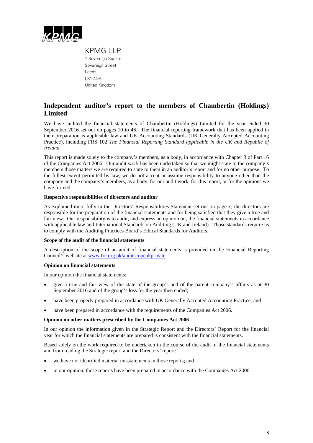

KPMG LLP 1 Sovereign Square Sovereign Street Leeds LS1 4DA United Kingdom

# **Independent auditor's report to the members of Chambertin (Holdings) Limited**

We have audited the financial statements of Chambertin (Holdings) Limited for the year ended 30 September 2016 set out on pages 10 to 46. The financial reporting framework that has been applied in their preparation is applicable law and UK Accounting Standards (UK Generally Accepted Accounting Practice), including FRS 102 *The Financial Reporting Standard applicable in the UK and Republic of Ireland*.

This report is made solely to the company's members, as a body, in accordance with Chapter 3 of Part 16 of the Companies Act 2006. Our audit work has been undertaken so that we might state to the company's members those matters we are required to state to them in an auditor's report and for no other purpose. To the fullest extent permitted by law, we do not accept or assume responsibility to anyone other than the company and the company's members, as a body, for our audit work, for this report, or for the opinions we have formed.

#### **Respective responsibilities of directors and auditor**

As explained more fully in the Directors' Responsibilities Statement set out on page x, the directors are responsible for the preparation of the financial statements and for being satisfied that they give a true and fair view. Our responsibility is to audit, and express an opinion on, the financial statements in accordance with applicable law and International Standards on Auditing (UK and Ireland). Those standards require us to comply with the Auditing Practices Board's Ethical Standards for Auditors.

#### **Scope of the audit of the financial statements**

A description of the scope of an audit of financial statements is provided on the Financial Reporting Council's website at www.frc.org.uk/auditscopeukprivate.

#### **Opinion on financial statements**

In our opinion the financial statements:

- give a true and fair view of the state of the group's and of the parent company's affairs as at 30 September 2016 and of the group's loss for the year then ended;
- have been properly prepared in accordance with UK Generally Accepted Accounting Practice; and
- have been prepared in accordance with the requirements of the Companies Act 2006.

#### **Opinion on other matters prescribed by the Companies Act 2006**

In our opinion the information given in the Strategic Report and the Directors' Report for the financial year for which the financial statements are prepared is consistent with the financial statements.

Based solely on the work required to be undertaken in the course of the audit of the financial statements and from reading the Strategic report and the Directors' report:

- we have not identified material misstatements in those reports; and
- in our opinion, those reports have been prepared in accordance with the Companies Act 2006.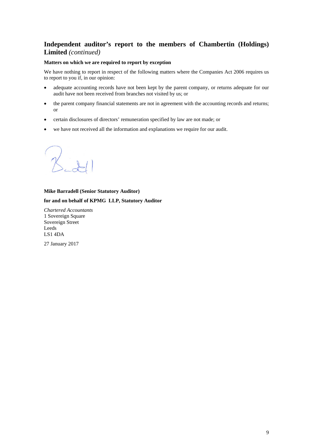# **Independent auditor's report to the members of Chambertin (Holdings) Limited** *(continued)*

### **Matters on which we are required to report by exception**

We have nothing to report in respect of the following matters where the Companies Act 2006 requires us to report to you if, in our opinion:

- adequate accounting records have not been kept by the parent company, or returns adequate for our audit have not been received from branches not visited by us; or
- the parent company financial statements are not in agreement with the accounting records and returns; or
- certain disclosures of directors' remuneration specified by law are not made; or
- we have not received all the information and explanations we require for our audit.

# **Mike Barradell (Senior Statutory Auditor)**

#### **for and on behalf of KPMG LLP, Statutory Auditor**

*Chartered Accountants*  1 Sovereign Square Sovereign Street Leeds LS1 4DA

27 January 2017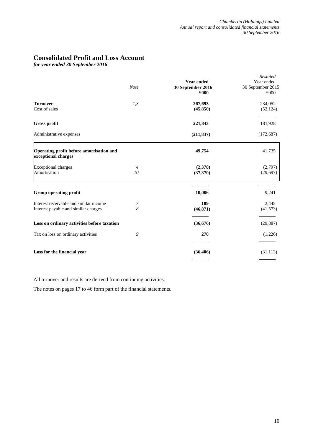# **Consolidated Profit and Loss Account**

*for year ended 30 September 2016*

|                                                                                | Note                 | <b>Year ended</b><br>30 September 2016 | Restated<br>Year ended<br>30 September 2015 |
|--------------------------------------------------------------------------------|----------------------|----------------------------------------|---------------------------------------------|
|                                                                                |                      | £000                                   | £000                                        |
| <b>Turnover</b><br>Cost of sales                                               | 1,3                  | 267,693<br>(45, 850)                   | 234,052<br>(52, 124)                        |
| <b>Gross profit</b>                                                            |                      | 221,843                                | 181,928                                     |
| Administrative expenses                                                        |                      | (211, 837)                             | (172, 687)                                  |
| Operating profit before amortisation and<br>exceptional charges                |                      | 49,754                                 | 41,735                                      |
| <b>Exceptional charges</b><br>Amortisation                                     | $\overline{4}$<br>10 | (2,378)<br>(37,370)                    | (2,797)<br>(29, 697)                        |
| Group operating profit                                                         |                      | 10,006                                 | 9,241                                       |
| Interest receivable and similar income<br>Interest payable and similar charges | 7<br>8               | 189<br>(46, 871)                       | 2,445<br>(41,573)                           |
| Loss on ordinary activities before taxation                                    |                      | (36, 676)                              | (29, 887)                                   |
| Tax on loss on ordinary activities                                             | 9                    | 270                                    | (1,226)                                     |
| Loss for the financial year                                                    |                      | (36, 406)                              | (31, 113)                                   |

All turnover and results are derived from continuing activities.

The notes on pages 17 to 46 form part of the financial statements.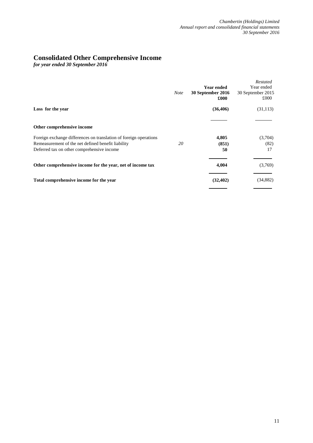# **Consolidated Other Comprehensive Income**

*for year ended 30 September 2016*

|                                                                   | <b>Note</b> | <b>Year ended</b><br>30 September 2016<br>£000 | Restated<br>Year ended<br>30 September 2015<br>£000 |
|-------------------------------------------------------------------|-------------|------------------------------------------------|-----------------------------------------------------|
| Loss for the year                                                 |             | (36, 406)                                      | (31, 113)                                           |
| Other comprehensive income                                        |             |                                                |                                                     |
| Foreign exchange differences on translation of foreign operations |             | 4,805                                          | (3,704)                                             |
| Remeasurement of the net defined benefit liability                | 20          | (851)                                          | (82)                                                |
| Deferred tax on other comprehensive income                        |             | 50                                             | 17                                                  |
| Other comprehensive income for the year, net of income tax        |             | 4,004                                          | (3,769)                                             |
| Total comprehensive income for the year                           |             | (32, 402)                                      | (34, 882)                                           |
|                                                                   |             |                                                |                                                     |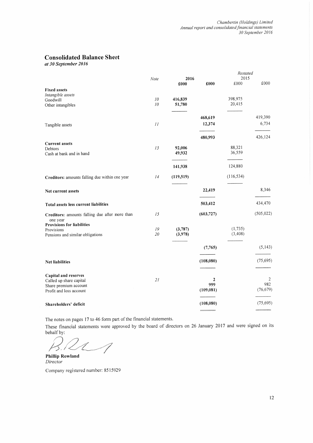# **Consolidated Balance Sheet**

at 30 September 2016

|                                                |      |                  |            | Restated         |            |
|------------------------------------------------|------|------------------|------------|------------------|------------|
|                                                | Note | 2016             |            | 2015             |            |
|                                                |      | £000             | £000       | £000             | £000       |
| <b>Fixed assets</b>                            |      |                  |            |                  |            |
| Intangible assets<br>Goodwill                  | 10   | 416,839          |            | 398,975          |            |
| Other intangibles                              | 10   | 51,780           |            | 20,415           |            |
|                                                |      |                  |            |                  |            |
|                                                |      |                  | 468,619    |                  | 419,390    |
|                                                | II   |                  | 12,374     |                  | 6,734      |
| Tangible assets                                |      |                  |            |                  |            |
|                                                |      |                  | 480,993    |                  | 426,124    |
| <b>Current assets</b>                          |      |                  |            |                  |            |
| Debtors                                        | 13   | 92,006<br>49,932 |            | 88,321<br>36,559 |            |
| Cash at bank and in hand                       |      |                  |            |                  |            |
|                                                |      | 141,938          |            | 124,880          |            |
| Creditors: amounts falling due within one year | 14   | (119, 519)       |            | (116, 534)       |            |
|                                                |      |                  |            |                  |            |
| Net current assets                             |      |                  | 22,419     |                  | 8,346      |
|                                                |      |                  |            |                  |            |
| Total assets less current liabilities          |      |                  | 503,412    |                  | 434,470    |
| Creditors: amounts falling due after more than | 15   |                  | (603, 727) |                  | (505, 022) |
| one year                                       |      |                  |            |                  |            |
| <b>Provisions for liabilities</b>              | 19   | (3,787)          |            | (1, 735)         |            |
| Provisions<br>Pensions and similar obligations | 20   | (3,978)          |            | (3, 408)         |            |
|                                                |      |                  |            |                  |            |
|                                                |      |                  | (7,765)    |                  | (5, 143)   |
|                                                |      |                  |            |                  |            |
| <b>Net liabilities</b>                         |      |                  | (108, 080) |                  | (75, 695)  |
|                                                |      |                  |            |                  |            |
| Capital and reserves                           |      |                  |            |                  |            |
| Called up share capital                        | 21   |                  | 2          |                  | 2<br>982   |
| Share premium account                          |      |                  | 999        |                  |            |
| Profit and loss account                        |      |                  | (109, 081) |                  | (76, 679)  |
| Shareholders' deficit                          |      |                  | (108, 080) |                  | (75,695)   |
|                                                |      |                  |            |                  |            |

The notes on pages 17 to 46 form part of the financial statements.

These financial statements were approved by the board of directors on 26 January 2017 and were signed on its behalf by:

 $\overline{\mathcal{A}}$ 

**Phillip Rowland** Director

Company registered number: 8515929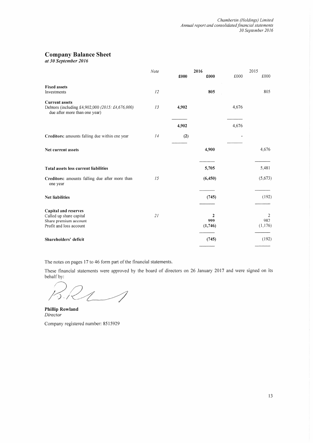# **Company Balance Sheet**

at 30 September 2016

|                                                                                                            | Note | £000  | 2016<br>£000                   | £000  | 2015<br>£000        |
|------------------------------------------------------------------------------------------------------------|------|-------|--------------------------------|-------|---------------------|
|                                                                                                            |      |       |                                |       |                     |
| <b>Fixed assets</b><br>Investments                                                                         | 12   |       | 805                            |       | 805                 |
| <b>Current assets</b><br>Debtors (including £4,902,000 (2015: £4,676,000)<br>due after more than one year) | 13   | 4,902 |                                | 4,676 |                     |
|                                                                                                            |      | 4,902 |                                | 4,676 |                     |
| Creditors: amounts falling due within one year                                                             | 14   | (2)   |                                |       |                     |
| Net current assets                                                                                         |      |       | 4,900                          |       | 4,676               |
| Total assets less current liabilities                                                                      |      |       | 5,705                          |       | 5,481               |
| Creditors: amounts falling due after more than<br>one year                                                 | 15   |       | (6, 450)                       |       | (5,673)             |
| <b>Net liabilities</b>                                                                                     |      |       | (745)                          |       | (192)               |
| Capital and reserves<br>Called up share capital<br>Share premium account<br>Profit and loss account        | 21   |       | $\mathbf{2}$<br>999<br>(1,746) |       | 2<br>982<br>(1,176) |
| Shareholders' deficit                                                                                      |      |       | (745)                          |       | (192)               |

The notes on pages 17 to 46 form part of the financial statements.

These financial statements were approved by the board of directors on 26 January 2017 and were signed on its behalf by:

BRIS

**Phillip Rowland** Director Company registered number: 8515929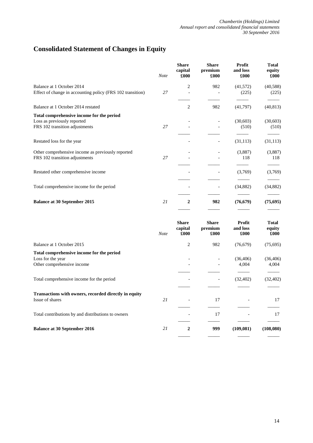# **Consolidated Statement of Changes in Equity**

|                                                            | <b>Note</b> | <b>Share</b><br>capital<br>£000 | <b>Share</b><br>premium<br>£000 | <b>Profit</b><br>and loss<br>£000 | <b>Total</b><br>equity<br>£000 |
|------------------------------------------------------------|-------------|---------------------------------|---------------------------------|-----------------------------------|--------------------------------|
| Balance at 1 October 2014                                  |             | 2                               | 982                             | (41, 572)                         | (40, 588)                      |
| Effect of change in accounting policy (FRS 102 transition) | 27          |                                 |                                 | (225)                             | (225)                          |
| Balance at 1 October 2014 restated                         |             | 2                               | 982                             | (41,797)                          | (40, 813)                      |
| Total comprehensive income for the period                  |             |                                 |                                 |                                   |                                |
| Loss as previously reported                                |             |                                 |                                 | (30,603)                          | (30,603)                       |
| FRS 102 transition adjustments                             | 27          |                                 |                                 | (510)                             | (510)                          |
|                                                            |             |                                 |                                 |                                   |                                |
| Restated loss for the year                                 |             |                                 |                                 | (31, 113)                         | (31, 113)                      |
| Other comprehensive income as previously reported          |             |                                 |                                 | (3,887)                           | (3,887)                        |
| FRS 102 transition adjustments                             | 27          |                                 |                                 | 118                               | 118                            |
| Restated other comprehensive income                        |             |                                 |                                 | (3,769)                           | (3,769)                        |
|                                                            |             |                                 |                                 |                                   |                                |
| Total comprehensive income for the period                  |             |                                 |                                 | (34, 882)                         | (34, 882)                      |
| <b>Balance at 30 September 2015</b>                        | 21          | $\mathbf{2}$                    | 982                             | (76, 679)                         | (75, 695)                      |
|                                                            |             |                                 |                                 |                                   |                                |

|                                                                                              | <b>Note</b> | <b>Share</b><br>capital<br>£000 | <b>Share</b><br>premium<br>£000 | <b>Profit</b><br>and loss<br>£000 | <b>Total</b><br>equity<br>£000 |
|----------------------------------------------------------------------------------------------|-------------|---------------------------------|---------------------------------|-----------------------------------|--------------------------------|
| Balance at 1 October 2015                                                                    |             | 2                               | 982                             | (76,679)                          | (75,695)                       |
| Total comprehensive income for the period<br>Loss for the year<br>Other comprehensive income |             |                                 |                                 | (36, 406)<br>4,004                | (36, 406)<br>4,004             |
| Total comprehensive income for the period                                                    |             |                                 |                                 | (32, 402)                         | (32, 402)                      |
| Transactions with owners, recorded directly in equity<br>Issue of shares                     | 21          |                                 | 17                              |                                   | 17                             |
| Total contributions by and distributions to owners                                           |             |                                 | 17                              |                                   | 17                             |
| <b>Balance at 30 September 2016</b>                                                          | 21          | $\mathbf{2}$                    | 999                             | (109, 081)                        | (108,080)                      |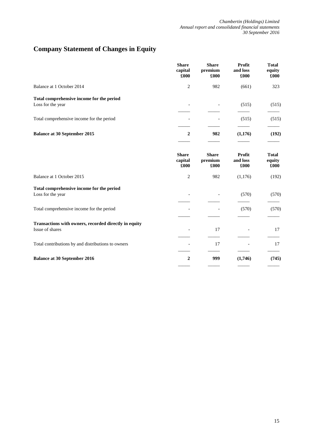# **Company Statement of Changes in Equity**

|                                                                          | <b>Share</b><br>capital<br>£000 | <b>Share</b><br>premium<br>£000 | Profit<br>and loss<br>£000 | <b>Total</b><br>equity<br>£000 |
|--------------------------------------------------------------------------|---------------------------------|---------------------------------|----------------------------|--------------------------------|
| Balance at 1 October 2014                                                | $\overline{c}$                  | 982                             | (661)                      | 323                            |
| Total comprehensive income for the period                                |                                 |                                 |                            |                                |
| Loss for the year                                                        |                                 |                                 | (515)                      | (515)                          |
| Total comprehensive income for the period                                |                                 |                                 | (515)                      | (515)                          |
| <b>Balance at 30 September 2015</b>                                      | $\overline{2}$                  | 982                             | (1,176)                    | (192)                          |
|                                                                          | <b>Share</b><br>capital<br>£000 | <b>Share</b><br>premium<br>£000 | Profit<br>and loss<br>£000 | <b>Total</b><br>equity<br>£000 |
| Balance at 1 October 2015                                                | $\overline{c}$                  | 982                             | (1,176)                    | (192)                          |
| Total comprehensive income for the period<br>Loss for the year           |                                 |                                 | (570)                      | (570)                          |
| Total comprehensive income for the period                                |                                 |                                 | (570)                      | (570)                          |
| Transactions with owners, recorded directly in equity<br>Issue of shares |                                 | 17                              |                            | 17                             |
| Total contributions by and distributions to owners                       |                                 | 17                              |                            | 17                             |
| <b>Balance at 30 September 2016</b>                                      | $\boldsymbol{2}$                | 999                             | (1,746)                    | (745)                          |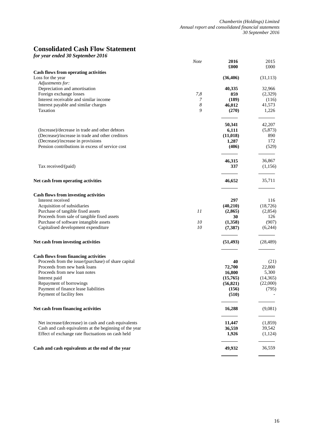# **Consolidated Cash Flow Statement**

*for year ended 30 September 2016*

|                                                                                       | <b>Note</b> | 2016          | 2015         |
|---------------------------------------------------------------------------------------|-------------|---------------|--------------|
|                                                                                       |             | £000          | £000         |
| <b>Cash flows from operating activities</b>                                           |             |               |              |
| Loss for the year                                                                     |             | (36, 406)     | (31, 113)    |
| Adjustments for:<br>Depreciation and amortisation                                     |             | 40,335        | 32,966       |
| Foreign exchange losses                                                               | 7,8         | 859           | (2,329)      |
| Interest receivable and similar income                                                | 7           | (189)         | (116)        |
| Interest payable and similar charges                                                  | 8           | 46,012        | 41,573       |
| Taxation                                                                              | 9           | (270)         | 1,226        |
|                                                                                       |             |               |              |
|                                                                                       |             | 50,341        | 42,207       |
| (Increase)/decrease in trade and other debtors                                        |             | 6,111         | (5,873)      |
| (Decrease)/increase in trade and other creditors                                      |             | (11, 018)     | 890          |
| (Decrease)/increase in provisions                                                     |             | 1,287         | 172          |
| Pension contributions in excess of service cost                                       |             | (406)         | (529)        |
|                                                                                       |             | 46,315        | 36,867       |
| Tax received/(paid)                                                                   |             | 337           | (1,156)      |
|                                                                                       |             |               |              |
| Net cash from operating activities                                                    |             | 46,652        | 35,711       |
|                                                                                       |             |               |              |
| <b>Cash flows from investing activities</b>                                           |             |               |              |
| Interest received                                                                     |             | 297           | 116          |
| Acquisition of subsidiaries                                                           |             | (40,210)      | (18, 726)    |
| Purchase of tangible fixed assets                                                     | 11          | (2, 865)      | (2,854)      |
| Proceeds from sale of tangible fixed assets<br>Purchase of software intangible assets | 10          | 30<br>(1,358) | 126<br>(907) |
| Capitalised development expenditure                                                   | 10          | (7, 387)      | (6,244)      |
|                                                                                       |             |               |              |
| Net cash from investing activities                                                    |             | (51, 493)     | (28, 489)    |
| <b>Cash flows from financing activities</b>                                           |             |               |              |
| Proceeds from the issue/(purchase) of share capital                                   |             | 40            | (21)         |
| Proceeds from new bank loans                                                          |             | 72,700        | 22,800       |
| Proceeds from new loan notes                                                          |             | 16,800        | 5,300        |
| Interest paid                                                                         |             | (15,765)      | (14, 365)    |
| Repayment of borrowings                                                               |             | (56, 821)     | (22,000)     |
| Payment of finance lease liabilities                                                  |             | (156)         | (795)        |
| Payment of facility fees                                                              |             | (510)         |              |
| Net cash from financing activities                                                    |             | 16,288        | (9,081)      |
| Net increase/(decrease) in cash and cash equivalents                                  |             | 11,447        | (1,859)      |
| Cash and cash equivalents at the beginning of the year                                |             | 36,559        | 39,542       |
| Effect of exchange rate fluctuations on cash held                                     |             | 1,926         | (1,124)      |
| Cash and cash equivalents at the end of the year                                      |             | 49,932        | 36,559       |
|                                                                                       |             |               |              |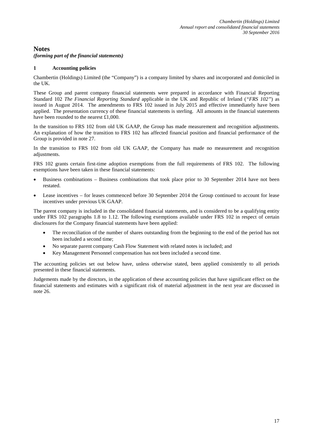# **Notes**

*(forming part of the financial statements)*

#### **1 Accounting policies**

Chambertin (Holdings) Limited (the "Company") is a company limited by shares and incorporated and domiciled in the UK.

These Group and parent company financial statements were prepared in accordance with Financial Reporting Standard 102 *The Financial Reporting Standard* applicable in the UK and Republic of Ireland (*"FRS 102"*) as issued in August 2014. The amendments to FRS 102 issued in July 2015 and effective immediately have been applied. The presentation currency of these financial statements is sterling. All amounts in the financial statements have been rounded to the nearest £1,000.

In the transition to FRS 102 from old UK GAAP, the Group has made measurement and recognition adjustments. An explanation of how the transition to FRS 102 has affected financial position and financial performance of the Group is provided in note 27.

In the transition to FRS 102 from old UK GAAP, the Company has made no measurement and recognition adjustments.

FRS 102 grants certain first-time adoption exemptions from the full requirements of FRS 102. The following exemptions have been taken in these financial statements:

- Business combinations Business combinations that took place prior to 30 September 2014 have not been restated.
- Lease incentives for leases commenced before 30 September 2014 the Group continued to account for lease incentives under previous UK GAAP.

The parent company is included in the consolidated financial statements, and is considered to be a qualifying entity under FRS 102 paragraphs 1.8 to 1.12. The following exemptions available under FRS 102 in respect of certain disclosures for the Company financial statements have been applied:

- The reconciliation of the number of shares outstanding from the beginning to the end of the period has not been included a second time;
- No separate parent company Cash Flow Statement with related notes is included; and
- Key Management Personnel compensation has not been included a second time.

The accounting policies set out below have, unless otherwise stated, been applied consistently to all periods presented in these financial statements.

Judgements made by the directors, in the application of these accounting policies that have significant effect on the financial statements and estimates with a significant risk of material adjustment in the next year are discussed in note 26.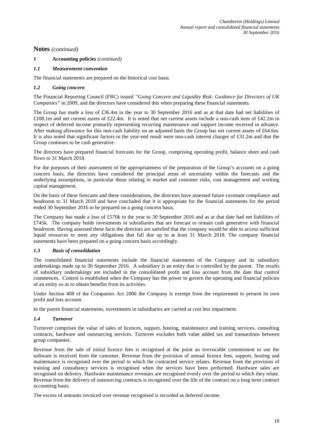# **1 Accounting policies** *(continued)*

# *1.1 Measurement convention*

The financial statements are prepared on the historical cost basis.

### *1.2 Going concern*

The Financial Reporting Council (FRC) issued *"Going Concern and Liquidity Risk: Guidance for Directors of UK Companies"* in 2009, and the directors have considered this when preparing these financial statements.

The Group has made a loss of £36.4m in the year to 30 September 2016 and as at that date had net liabilities of £108.1m and net current assets of £22.4m. It is noted that net current assets include a non-cash item of £42.2m in respect of deferred income primarily representing recurring maintenance and support income received in advance. After making allowance for this non-cash liability on an adjusted basis the Group has net current assets of £64.6m. It is also noted that significant factors in the year-end result were non-cash interest charges of £31.2m and that the Group continues to be cash generative.

The directors have prepared financial forecasts for the Group, comprising operating profit, balance sheet and cash flows to 31 March 2018.

For the purposes of their assessment of the appropriateness of the preparation of the Group's accounts on a going concern basis, the directors have considered the principal areas of uncertainty within the forecasts and the underlying assumptions, in particular those relating to market and customer risks, cost management and working capital management.

On the basis of these forecasts and these considerations, the directors have assessed future covenant compliance and headroom to 31 March 2018 and have concluded that it is appropriate for the financial statements for the period ended 30 September 2016 to be prepared on a going concern basis.

The Company has made a loss of £570k in the year to 30 September 2016 and as at that date had net liabilities of £745k. The company holds investments in subsidiaries that are forecast to remain cash generative with financial headroom. Having assessed these facts the directors are satisfied that the company would be able to access sufficient liquid resources to meet any obligations that fall due up to at least 31 March 2018. The company financial statements have been prepared on a going concern basis accordingly.

### *1.3 Basis of consolidation*

The consolidated financial statements include the financial statements of the Company and its subsidiary undertakings made up to 30 September 2016. A subsidiary is an entity that is controlled by the parent. The results of subsidiary undertakings are included in the consolidated profit and loss account from the date that control commences. Control is established when the Company has the power to govern the operating and financial policies of an entity so as to obtain benefits from its activities.

Under Section 408 of the Companies Act 2006 the Company is exempt from the requirement to present its own profit and loss account.

In the parent financial statements, investments in subsidiaries are carried at cost less impairment.

### *1.4 Turnover*

Turnover comprises the value of sales of licences, support, hosting, maintenance and training services, consulting contracts, hardware and outsourcing services. Turnover excludes both value added tax and transactions between group companies.

Revenue from the sale of initial licence fees is recognised at the point an irrevocable commitment to use the software is received from the customer. Revenue from the provision of annual licence fees, support, hosting and maintenance is recognised over the period to which the contracted service relates. Revenue from the provision of training and consultancy services is recognised when the services have been performed. Hardware sales are recognised on delivery. Hardware maintenance revenues are recognised evenly over the period to which they relate. Revenue from the delivery of outsourcing contracts is recognised over the life of the contract on a long term contract accounting basis.

The excess of amounts invoiced over revenue recognised is recorded as deferred income.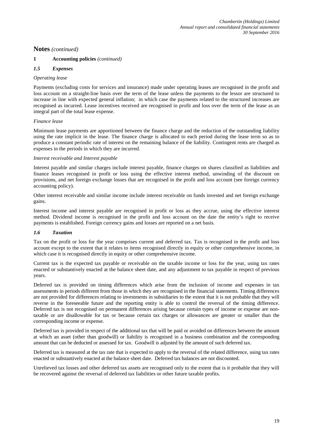# **1 Accounting policies** *(continued)*

# *1.5 Expenses*

#### *Operating lease*

Payments (excluding costs for services and insurance) made under operating leases are recognised in the profit and loss account on a straight-line basis over the term of the lease unless the payments to the lessor are structured to increase in line with expected general inflation; in which case the payments related to the structured increases are recognised as incurred. Lease incentives received are recognised in profit and loss over the term of the lease as an integral part of the total lease expense.

#### *Finance lease*

Minimum lease payments are apportioned between the finance charge and the reduction of the outstanding liability using the rate implicit in the lease. The finance charge is allocated to each period during the lease term so as to produce a constant periodic rate of interest on the remaining balance of the liability. Contingent rents are charged as expenses in the periods in which they are incurred.

#### *Interest receivable and Interest payable*

Interest payable and similar charges include interest payable, finance charges on shares classified as liabilities and finance leases recognised in profit or loss using the effective interest method, unwinding of the discount on provisions, and net foreign exchange losses that are recognised in the profit and loss account (see foreign currency accounting policy).

Other interest receivable and similar income include interest receivable on funds invested and net foreign exchange gains.

Interest income and interest payable are recognised in profit or loss as they accrue, using the effective interest method. Dividend income is recognised in the profit and loss account on the date the entity's right to receive payments is established. Foreign currency gains and losses are reported on a net basis.

### *1.6 Taxation*

Tax on the profit or loss for the year comprises current and deferred tax. Tax is recognised in the profit and loss account except to the extent that it relates to items recognised directly in equity or other comprehensive income, in which case it is recognised directly in equity or other comprehensive income.

Current tax is the expected tax payable or receivable on the taxable income or loss for the year, using tax rates enacted or substantively enacted at the balance sheet date, and any adjustment to tax payable in respect of previous years.

Deferred tax is provided on timing differences which arise from the inclusion of income and expenses in tax assessments in periods different from those in which they are recognised in the financial statements. Timing differences are not provided for differences relating to investments in subsidiaries to the extent that it is not probable that they will reverse in the foreseeable future and the reporting entity is able to control the reversal of the timing difference. Deferred tax is not recognised on permanent differences arising because certain types of income or expense are nontaxable or are disallowable for tax or because certain tax charges or allowances are greater or smaller than the corresponding income or expense.

Deferred tax is provided in respect of the additional tax that will be paid or avoided on differences between the amount at which an asset (other than goodwill) or liability is recognised in a business combination and the corresponding amount that can be deducted or assessed for tax. Goodwill is adjusted by the amount of such deferred tax.

Deferred tax is measured at the tax rate that is expected to apply to the reversal of the related difference, using tax rates enacted or substantively enacted at the balance sheet date. Deferred tax balances are not discounted.

Unrelieved tax losses and other deferred tax assets are recognised only to the extent that is it probable that they will be recovered against the reversal of deferred tax liabilities or other future taxable profits.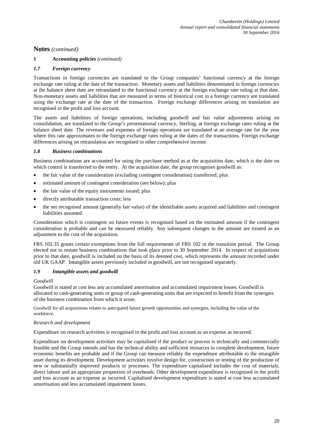# **1 Accounting policies** *(continued)*

### *1.7 Foreign currency*

Transactions in foreign currencies are translated to the Group companies' functional currency at the foreign exchange rate ruling at the date of the transaction. Monetary assets and liabilities denominated in foreign currencies at the balance sheet date are retranslated to the functional currency at the foreign exchange rate ruling at that date. Non-monetary assets and liabilities that are measured in terms of historical cost in a foreign currency are translated using the exchange rate at the date of the transaction. Foreign exchange differences arising on translation are recognised in the profit and loss account.

The assets and liabilities of foreign operations, including goodwill and fair value adjustments arising on consolidation, are translated to the Group's presentational currency, Sterling, at foreign exchange rates ruling at the balance sheet date. The revenues and expenses of foreign operations are translated at an average rate for the year where this rate approximates to the foreign exchange rates ruling at the dates of the transactions. Foreign exchange differences arising on retranslation are recognised in other comprehensive income.

#### *1.8 Business combinations*

Business combinations are accounted for using the purchase method as at the acquisition date, which is the date on which control is transferred to the entity. At the acquisition date, the group recognises goodwill as:

- the fair value of the consideration (excluding contingent consideration) transferred; plus
- estimated amount of contingent consideration (see below); plus
- the fair value of the equity instruments issued; plus
- directly attributable transaction costs; less
- the net recognised amount (generally fair value) of the identifiable assets acquired and liabilities and contingent liabilities assumed.

Consideration which is contingent on future events is recognised based on the estimated amount if the contingent consideration is probable and can be measured reliably. Any subsequent changes to the amount are treated as an adjustment to the cost of the acquisition.

FRS 102.35 grants certain exemptions from the full requirements of FRS 102 in the transition period. The Group elected not to restate business combinations that took place prior to 30 September 2014. In respect of acquisitions prior to that date, goodwill is included on the basis of its deemed cost, which represents the amount recorded under old UK GAAP. Intangible assets previously included in goodwill, are not recognised separately.

#### *1.9 Intangible assets and goodwill*

#### *Goodwill*

Goodwill is stated at cost less any accumulated amortisation and accumulated impairment losses. Goodwill is allocated to cash-generating units or group of cash-generating units that are expected to benefit from the synergies of the business combination from which it arose.

Goodwill for all acquisitions relates to anticipated future growth opportunities and synergies, including the value of the workforce.

#### *Research and development*

Expenditure on research activities is recognised in the profit and loss account as an expense as incurred.

Expenditure on development activities may be capitalised if the product or process is technically and commercially feasible and the Group intends and has the technical ability and sufficient resources to complete development, future economic benefits are probable and if the Group can measure reliably the expenditure attributable to the intangible asset during its development. Development activities involve design for, construction or testing of the production of new or substantially improved products or processes. The expenditure capitalised includes the cost of materials, direct labour and an appropriate proportion of overheads. Other development expenditure is recognised in the profit and loss account as an expense as incurred. Capitalised development expenditure is stated at cost less accumulated amortisation and less accumulated impairment losses.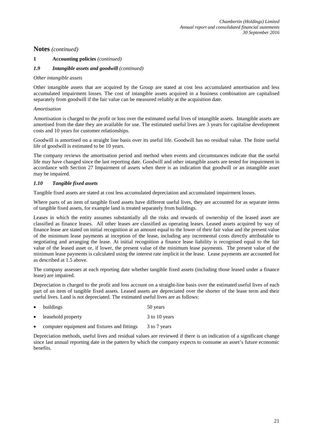#### **1 Accounting policies** *(continued)*

#### *1.9 Intangible assets and goodwill (continued)*

#### *Other intangible assets*

Other intangible assets that are acquired by the Group are stated at cost less accumulated amortisation and less accumulated impairment losses. The cost of intangible assets acquired in a business combination are capitalised separately from goodwill if the fair value can be measured reliably at the acquisition date.

#### *Amortisation*

Amortisation is charged to the profit or loss over the estimated useful lives of intangible assets. Intangible assets are amortised from the date they are available for use. The estimated useful lives are 3 years for capitalise development costs and 10 years for customer relationships.

Goodwill is amortised on a straight line basis over its useful life. Goodwill has no residual value. The finite useful life of goodwill is estimated to be 10 years.

The company reviews the amortisation period and method when events and circumstances indicate that the useful life may have changed since the last reporting date. Goodwill and other intangible assets are tested for impairment in accordance with Section 27 Impairment of assets when there is an indication that goodwill or an intangible asset may be impaired.

#### *1.10 Tangible fixed assets*

Tangible fixed assets are stated at cost less accumulated depreciation and accumulated impairment losses.

Where parts of an item of tangible fixed assets have different useful lives, they are accounted for as separate items of tangible fixed assets, for example land is treated separately from buildings.

Leases in which the entity assumes substantially all the risks and rewards of ownership of the leased asset are classified as finance leases. All other leases are classified as operating leases. Leased assets acquired by way of finance lease are stated on initial recognition at an amount equal to the lower of their fair value and the present value of the minimum lease payments at inception of the lease, including any incremental costs directly attributable to negotiating and arranging the lease. At initial recognition a finance lease liability is recognised equal to the fair value of the leased asset or, if lower, the present value of the minimum lease payments. The present value of the minimum lease payments is calculated using the interest rate implicit in the lease. Lease payments are accounted for as described at 1.5 above.

The company assesses at each reporting date whether tangible fixed assets (including those leased under a finance lease) are impaired.

Depreciation is charged to the profit and loss account on a straight-line basis over the estimated useful lives of each part of an item of tangible fixed assets. Leased assets are depreciated over the shorter of the lease term and their useful lives. Land is not depreciated. The estimated useful lives are as follows:

| $\bullet$ | buildings                                    | 50 years      |
|-----------|----------------------------------------------|---------------|
| $\bullet$ | leasehold property                           | 3 to 10 years |
| $\bullet$ | computer equipment and fixtures and fittings | 3 to 7 years  |

Depreciation methods, useful lives and residual values are reviewed if there is an indication of a significant change since last annual reporting date in the pattern by which the company expects to consume an asset's future economic benefits.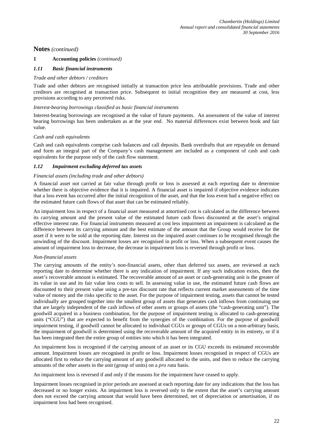#### **1 Accounting policies** *(continued)*

#### *1.11 Basic financial instruments*

#### *Trade and other debtors / creditors*

Trade and other debtors are recognised initially at transaction price less attributable provisions. Trade and other creditors are recognised at transaction price. Subsequent to initial recognition they are measured at cost, less provisions according to any perceived risks.

#### *Interest-bearing borrowings classified as basic financial instruments*

Interest-bearing borrowings are recognised at the value of future payments. An assessment of the value of interest bearing borrowings has been undertaken as at the year end. No material differences exist between book and fair value.

#### *Cash and cash equivalents*

Cash and cash equivalents comprise cash balances and call deposits. Bank overdrafts that are repayable on demand and form an integral part of the Company's cash management are included as a component of cash and cash equivalents for the purpose only of the cash flow statement.

#### *1.12 Impairment excluding deferred tax assets*

#### *Financial assets (including trade and other debtors)*

A financial asset not carried at fair value through profit or loss is assessed at each reporting date to determine whether there is objective evidence that it is impaired. A financial asset is impaired if objective evidence indicates that a loss event has occurred after the initial recognition of the asset, and that the loss event had a negative effect on the estimated future cash flows of that asset that can be estimated reliably.

An impairment loss in respect of a financial asset measured at amortised cost is calculated as the difference between its carrying amount and the present value of the estimated future cash flows discounted at the asset's original effective interest rate. For financial instruments measured at cost less impairment an impairment is calculated as the difference between its carrying amount and the best estimate of the amount that the Group would receive for the asset if it were to be sold at the reporting date. Interest on the impaired asset continues to be recognised through the unwinding of the discount. Impairment losses are recognised in profit or loss. When a subsequent event causes the amount of impairment loss to decrease, the decrease in impairment loss is reversed through profit or loss.

#### *Non-financial assets*

The carrying amounts of the entity's non-financial assets, other than deferred tax assets, are reviewed at each reporting date to determine whether there is any indication of impairment. If any such indication exists, then the asset's recoverable amount is estimated. The recoverable amount of an asset or cash-generating unit is the greater of its value in use and its fair value less costs to sell. In assessing value in use, the estimated future cash flows are discounted to their present value using a pre-tax discount rate that reflects current market assessments of the time value of money and the risks specific to the asset. For the purpose of impairment testing, assets that cannot be tested individually are grouped together into the smallest group of assets that generates cash inflows from continuing use that are largely independent of the cash inflows of other assets or groups of assets (the "cash-generating unit"). The goodwill acquired in a business combination, for the purpose of impairment testing is allocated to cash-generating units ("CGU") that are expected to benefit from the synergies of the combination. For the purpose of goodwill impairment testing, if goodwill cannot be allocated to individual CGUs or groups of CGUs on a non-arbitrary basis, the impairment of goodwill is determined using the recoverable amount of the acquired entity in its entirety, or if it has been integrated then the entire group of entities into which it has been integrated.

An impairment loss is recognised if the carrying amount of an asset or its CGU exceeds its estimated recoverable amount. Impairment losses are recognised in profit or loss. Impairment losses recognised in respect of CGUs are allocated first to reduce the carrying amount of any goodwill allocated to the units, and then to reduce the carrying amounts of the other assets in the unit (group of units) on a *pro rata* basis.

An impairment loss is reversed if and only if the reasons for the impairment have ceased to apply.

Impairment losses recognised in prior periods are assessed at each reporting date for any indications that the loss has decreased or no longer exists. An impairment loss is reversed only to the extent that the asset's carrying amount does not exceed the carrying amount that would have been determined, net of depreciation or amortisation, if no impairment loss had been recognised.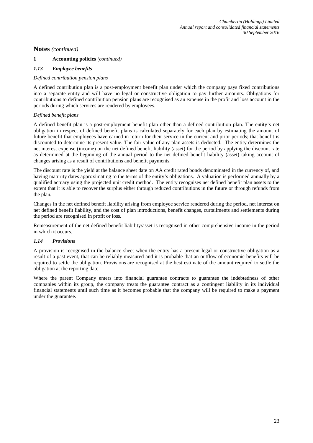# **1 Accounting policies** *(continued)*

# *1.13 Employee benefits*

### *Defined contribution pension plans*

A defined contribution plan is a post-employment benefit plan under which the company pays fixed contributions into a separate entity and will have no legal or constructive obligation to pay further amounts. Obligations for contributions to defined contribution pension plans are recognised as an expense in the profit and loss account in the periods during which services are rendered by employees.

### *Defined benefit plans*

A defined benefit plan is a post-employment benefit plan other than a defined contribution plan. The entity's net obligation in respect of defined benefit plans is calculated separately for each plan by estimating the amount of future benefit that employees have earned in return for their service in the current and prior periods; that benefit is discounted to determine its present value. The fair value of any plan assets is deducted. The entity determines the net interest expense (income) on the net defined benefit liability (asset) for the period by applying the discount rate as determined at the beginning of the annual period to the net defined benefit liability (asset) taking account of changes arising as a result of contributions and benefit payments.

The discount rate is the yield at the balance sheet date on AA credit rated bonds denominated in the currency of, and having maturity dates approximating to the terms of the entity's obligations. A valuation is performed annually by a qualified actuary using the projected unit credit method. The entity recognises net defined benefit plan assets to the extent that it is able to recover the surplus either through reduced contributions in the future or through refunds from the plan.

Changes in the net defined benefit liability arising from employee service rendered during the period, net interest on net defined benefit liability, and the cost of plan introductions, benefit changes, curtailments and settlements during the period are recognised in profit or loss.

Remeasurement of the net defined benefit liability/asset is recognised in other comprehensive income in the period in which it occurs.

#### *1.14 Provisions*

A provision is recognised in the balance sheet when the entity has a present legal or constructive obligation as a result of a past event, that can be reliably measured and it is probable that an outflow of economic benefits will be required to settle the obligation. Provisions are recognised at the best estimate of the amount required to settle the obligation at the reporting date.

Where the parent Company enters into financial guarantee contracts to guarantee the indebtedness of other companies within its group, the company treats the guarantee contract as a contingent liability in its individual financial statements until such time as it becomes probable that the company will be required to make a payment under the guarantee.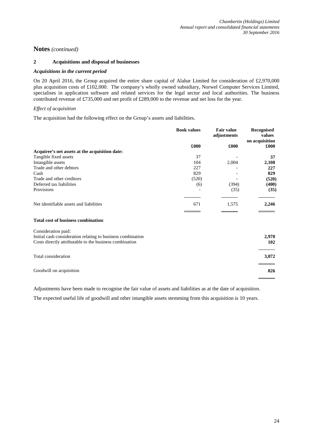# **2 Acquisitions and disposal of businesses**

#### *Acquisitions in the current period*

On 20 April 2016, the Group acquired the entire share capital of Alahar Limited for consideration of £2,970,000 plus acquisition costs of £102,000. The company's wholly owned subsidiary, Norwel Computer Services Limited, specialises in application software and related services for the legal sector and local authorities. The business contributed revenue of £735,000 and net profit of £289,000 to the revenue and net loss for the year.

#### *Effect of acquisition*

The acquisition had the following effect on the Group's assets and liabilities.

|                                                | <b>Book values</b> | <b>Fair value</b><br>adjustments | <b>Recognised</b><br>values<br>on acquisition |
|------------------------------------------------|--------------------|----------------------------------|-----------------------------------------------|
|                                                | £000               | £000                             | £000                                          |
| Acquiree's net assets at the acquisition date: |                    |                                  |                                               |
| Tangible fixed assets                          | 37                 |                                  | 37                                            |
| Intangible assets                              | 104                | 2,004                            | 2,108                                         |
| Trade and other debtors                        | 227                | $\overline{\phantom{0}}$         | 227                                           |
| Cash                                           | 829                | $\overline{\phantom{0}}$         | 829                                           |
| Trade and other creditors                      | (520)              |                                  | (520)                                         |
| Deferred tax liabilities                       | (6)                | (394)                            | (400)                                         |
| Provisions                                     |                    | (35)                             | (35)                                          |
| Net identifiable assets and liabilities        | 671                | 1,575                            | 2,246                                         |
| Total cost of business combination:            |                    |                                  |                                               |
| Consideration paid:                            |                    |                                  |                                               |

| Initial cash consideration relating to business combination<br>Costs directly attributable to the business combination | 2.970<br>102 |
|------------------------------------------------------------------------------------------------------------------------|--------------|
| Total consideration                                                                                                    | 3,072        |
| Goodwill on acquisition                                                                                                | 826          |

Adjustments have been made to recognise the fair value of assets and liabilities as at the date of acquisition.

The expected useful life of goodwill and other intangible assets stemming from this acquisition is 10 years.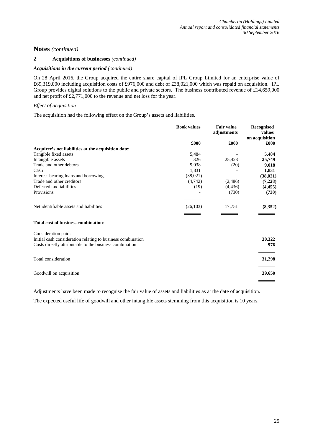# **2 Acquisitions of businesses** *(continued)*

#### *Acquisitions in the current period (continued)*

On 28 April 2016, the Group acquired the entire share capital of IPL Group Limited for an enterprise value of £69,319,000 including acquisition costs of £976,000 and debt of £38,021,000 which was repaid on acquisition. IPL Group provides digital solutions to the public and private sectors. The business contributed revenue of £14,659,000 and net profit of £2,771,000 to the revenue and net loss for the year.

#### *Effect of acquisition*

The acquisition had the following effect on the Group's assets and liabilities.

|                                                                                    | <b>Book values</b> | <b>Fair value</b><br>adjustments | Recognised<br>values<br>on acquisition |
|------------------------------------------------------------------------------------|--------------------|----------------------------------|----------------------------------------|
|                                                                                    | £000               | £000                             | £000                                   |
| Acquiree's net liabilities at the acquisition date:                                |                    |                                  |                                        |
| Tangible fixed assets                                                              | 5,484              |                                  | 5,484                                  |
| Intangible assets                                                                  | 326                | 25,423                           | 25,749                                 |
| Trade and other debtors                                                            | 9,038              | (20)                             | 9,018                                  |
| Cash                                                                               | 1,831              |                                  | 1,831                                  |
| Interest-bearing loans and borrowings                                              | (38,021)           |                                  | (38, 021)                              |
| Trade and other creditors                                                          | (4,742)            | (2,486)                          | (7,228)                                |
| Deferred tax liabilities                                                           | (19)               | (4, 436)                         | (4, 455)                               |
| Provisions                                                                         |                    | (730)                            | (730)                                  |
| Net identifiable assets and liabilities                                            | (26,103)           | 17,751                           | (8,352)                                |
| <b>Total cost of business combination:</b>                                         |                    |                                  |                                        |
| Consideration paid:<br>Initial cash consideration relating to business combination |                    |                                  | 30,322                                 |
| Costs directly attributable to the business combination                            |                    |                                  | 976                                    |
| Total consideration                                                                |                    |                                  | 31,298                                 |
| Goodwill on acquisition                                                            |                    |                                  | 39,650                                 |

Adjustments have been made to recognise the fair value of assets and liabilities as at the date of acquisition.

The expected useful life of goodwill and other intangible assets stemming from this acquisition is 10 years.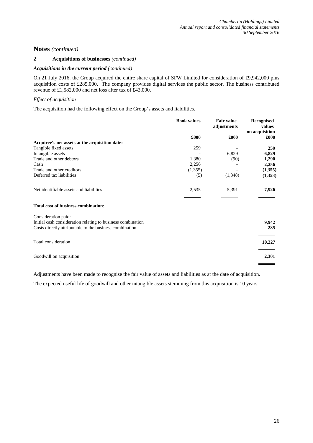### **2 Acquisitions of businesses** *(continued)*

#### *Acquisitions in the current period (continued)*

On 21 July 2016, the Group acquired the entire share capital of SFW Limited for consideration of £9,942,000 plus acquisition costs of £285,000. The company provides digital services the public sector. The business contributed revenue of £1,582,000 and net loss after tax of £43,000.

### *Effect of acquisition*

The acquisition had the following effect on the Group's assets and liabilities.

|                                                | <b>Book values</b> | <b>Fair value</b><br>adjustments | <b>Recognised</b><br>values<br>on acquisition |
|------------------------------------------------|--------------------|----------------------------------|-----------------------------------------------|
|                                                | £000               | £000                             | £000                                          |
| Acquiree's net assets at the acquisition date: |                    |                                  |                                               |
| Tangible fixed assets                          | 259                |                                  | 259                                           |
| Intangible assets                              |                    | 6,829                            | 6,829                                         |
| Trade and other debtors                        | 1,380              | (90)                             | 1,290                                         |
| Cash                                           | 2,256              |                                  | 2,256                                         |
| Trade and other creditors                      | (1,355)            |                                  | (1,355)                                       |
| Deferred tax liabilities                       | (5)                | (1,348)                          | (1,353)                                       |
| Net identifiable assets and liabilities        | 2,535              | 5,391                            | 7,926                                         |
|                                                |                    |                                  |                                               |

#### **Total cost of business combination**:

| 9.942  |
|--------|
| 285    |
| 10,227 |
| 2,301  |
|        |

Adjustments have been made to recognise the fair value of assets and liabilities as at the date of acquisition.

The expected useful life of goodwill and other intangible assets stemming from this acquisition is 10 years.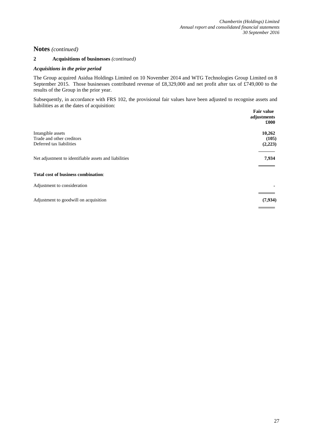### **2 Acquisitions of businesses** *(continued)*

#### *Acquisitions in the prior period*

The Group acquired Asidua Holdings Limited on 10 November 2014 and WTG Technologies Group Limited on 8 September 2015. Those businesses contributed revenue of £8,329,000 and net profit after tax of £749,000 to the results of the Group in the prior year.

Subsequently, in accordance with FRS 102, the provisional fair values have been adjusted to recognise assets and liabilities as at the dates of acquisition:

|                                                       | <b>Fair value</b><br>adjustments<br>£000 |
|-------------------------------------------------------|------------------------------------------|
| Intangible assets                                     | 10,262                                   |
| Trade and other creditors<br>Deferred tax liabilities | (105)<br>(2,223)                         |
| Net adjustment to identifiable assets and liabilities | 7,934                                    |
| Total cost of business combination:                   |                                          |
| Adjustment to consideration                           |                                          |
| Adjustment to goodwill on acquisition                 | (7, 934)                                 |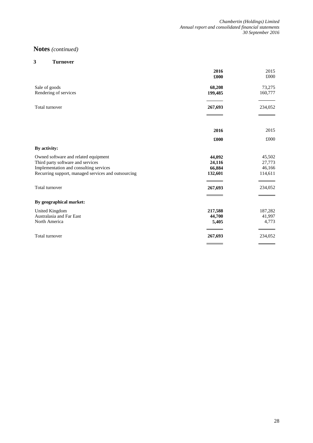# **3 Turnover**

|                                                                                                                                                                            | 2016<br>£000                          | 2015<br>£000                          |
|----------------------------------------------------------------------------------------------------------------------------------------------------------------------------|---------------------------------------|---------------------------------------|
| Sale of goods<br>Rendering of services                                                                                                                                     | 68,208<br>199,485                     | 73,275<br>160,777                     |
| Total turnover                                                                                                                                                             | 267,693                               | 234,052                               |
|                                                                                                                                                                            | 2016                                  | 2015                                  |
| By activity:                                                                                                                                                               | £000                                  | £000                                  |
| Owned software and related equipment<br>Third party software and services<br>Implementation and consulting services<br>Recurring support, managed services and outsourcing | 44,092<br>24,116<br>66,884<br>132,601 | 45,502<br>27,773<br>46,166<br>114,611 |
| Total turnover                                                                                                                                                             | 267,693                               | 234,052                               |
| By geographical market:                                                                                                                                                    |                                       |                                       |
| United Kingdom<br>Australasia and Far East<br>North America                                                                                                                | 217,588<br>44,700<br>5,405            | 187,282<br>41,997<br>4,773            |
| Total turnover                                                                                                                                                             | 267,693                               | 234,052                               |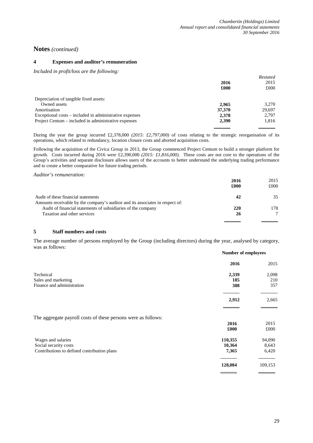#### **4 Expenses and auditor's remuneration**

*Included in profit/loss are the following:*

|                                                         |        | Restated |
|---------------------------------------------------------|--------|----------|
|                                                         | 2016   | 2015     |
|                                                         | £000   | £000     |
| Depreciation of tangible fixed assets:                  |        |          |
| Owned assets                                            | 2.965  | 3.270    |
| Amortisation                                            | 37,370 | 29.697   |
| Exceptional costs – included in administrative expenses | 2,378  | 2.797    |
| Project Centum – included in administrative expenses    | 2,390  | 1,816    |
|                                                         |        |          |

During the year the group incurred £2,378,000 *(2015: £2,797,000)* of costs relating to the strategic reorganisation of its operations, which related to redundancy, location closure costs and aborted acquisition costs.

Following the acquisition of the Civica Group in 2013, the Group commenced Project Centum to build a stronger platform for growth. Costs incurred during 2016 were £2,390,000 *(2015: £1,816,000)*. These costs are not core to the operations of the Group's activities and separate disclosure allows users of the accounts to better understand the underlying trading performance and to create a better comparative for future trading periods.

*Auditor's remuneration:*

|                                                                                                                      | 2016 | 2015 |
|----------------------------------------------------------------------------------------------------------------------|------|------|
|                                                                                                                      | £000 | £000 |
| Audit of these financial statements<br>Amounts receivable by the company's auditor and its associates in respect of: | 42   | 35   |
| Audit of financial statements of subsidiaries of the company                                                         | 220  | 178  |
| Taxation and other services                                                                                          | 26   |      |
|                                                                                                                      |      |      |

#### **5 Staff numbers and costs**

The average number of persons employed by the Group (including directors) during the year, analysed by category, was as follows:

|                                                               | <b>Number of employees</b> |         |
|---------------------------------------------------------------|----------------------------|---------|
|                                                               | 2016                       | 2015    |
| Technical                                                     | 2,339                      | 2,098   |
| Sales and marketing                                           | 185                        | 210     |
| Finance and administration                                    | 388                        | 357     |
|                                                               | 2,912                      | 2,665   |
| The aggregate payroll costs of these persons were as follows: |                            |         |
|                                                               | 2016                       | 2015    |
|                                                               | £000                       | £000    |
| Wages and salaries                                            | 110,355                    | 94,090  |
| Social security costs                                         | 10,364                     | 8,643   |
| Contributions to defined contribution plans                   | 7,365                      | 6,420   |
|                                                               | 128,084                    | 109,153 |
|                                                               |                            |         |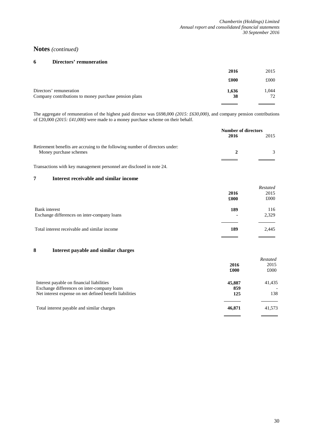#### **6 Directors' remuneration**

|                                                       | 2016  | 2015  |
|-------------------------------------------------------|-------|-------|
|                                                       | £000  | £000  |
| Directors' remuneration                               | 1,636 | 1.044 |
| Company contributions to money purchase pension plans | 38    | 72    |
|                                                       |       |       |

The aggregate of remuneration of the highest paid director was £698,000 *(2015: £630,000)*, and company pension contributions of £20,000 *(2015: £41,000)* were made to a money purchase scheme on their behalf.

|                                                                                                        | Number of directors<br>2016 | 2015 |
|--------------------------------------------------------------------------------------------------------|-----------------------------|------|
| Retirement benefits are accruing to the following number of directors under:<br>Money purchase schemes |                             |      |
|                                                                                                        |                             |      |

Transactions with key management personnel are disclosed in note 24.

#### **7 Interest receivable and similar income**

|                                                                     | 2016<br>£000          | Restated<br>2015<br>£000 |
|---------------------------------------------------------------------|-----------------------|--------------------------|
| <b>Bank</b> interest<br>Exchange differences on inter-company loans | 189<br>$\blacksquare$ | 116<br>2,329             |
| Total interest receivable and similar income                        | 189                   | 2,445                    |

# **8 Interest payable and similar charges**

|                                                                                                                                                     | 2016<br>£000         | Restated<br>2015<br>£000                  |
|-----------------------------------------------------------------------------------------------------------------------------------------------------|----------------------|-------------------------------------------|
| Interest payable on financial liabilities<br>Exchange differences on inter-company loans<br>Net interest expense on net defined benefit liabilities | 45,887<br>859<br>125 | 41,435<br>$\overline{\phantom{a}}$<br>138 |
| Total interest payable and similar charges                                                                                                          | 46,871               | 41,573                                    |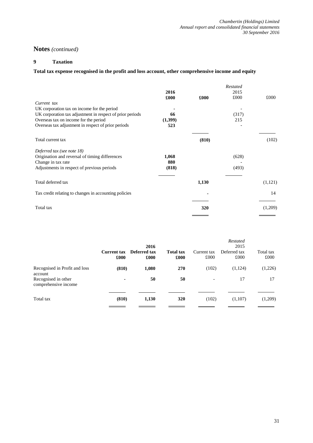# **9 Taxation**

# **Total tax expense recognised in the profit and loss account, other comprehensive income and equity**

|                                                           |         |       | Restated |         |
|-----------------------------------------------------------|---------|-------|----------|---------|
|                                                           | 2016    |       | 2015     |         |
|                                                           | £000    | £000  | £000     | £000    |
| Current tax                                               |         |       |          |         |
| UK corporation tax on income for the period               |         |       |          |         |
| UK corporation tax adjustment in respect of prior periods | 66      |       | (317)    |         |
| Overseas tax on income for the period                     | (1,399) |       | 215      |         |
| Overseas tax adjustment in respect of prior periods       | 523     |       |          |         |
| Total current tax                                         |         | (810) |          | (102)   |
| Deferred tax (see note 18)                                |         |       |          |         |
| Origination and reversal of timing differences            | 1,068   |       | (628)    |         |
| Change in tax rate                                        | 880     |       |          |         |
| Adjustments in respect of previous periods                | (818)   |       | (493)    |         |
| Total deferred tax                                        |         | 1,130 |          | (1,121) |
| Tax credit relating to changes in accounting policies     |         |       |          | 14      |
| Total tax                                                 |         | 320   |          | (1,209) |
|                                                           |         |       |          |         |

|                                                                                         | <b>Current tax</b><br>£000 | 2016<br>Deferred tax<br>£000 | <b>Total tax</b><br>£000 | Current tax<br>£000 | <b>Restated</b><br>2015<br>Deferred tax<br>£000 | Total tax<br>£000 |
|-----------------------------------------------------------------------------------------|----------------------------|------------------------------|--------------------------|---------------------|-------------------------------------------------|-------------------|
| Recognised in Profit and loss<br>account<br>Recognised in other<br>comprehensive income | (810)<br>۰                 | 1,080<br>50                  | 270<br>50                | (102)               | (1,124)<br>17                                   | (1,226)<br>17     |
| Total tax                                                                               | (810)                      | 1,130                        | 320                      | (102)               | (1,107)                                         | (1,209)           |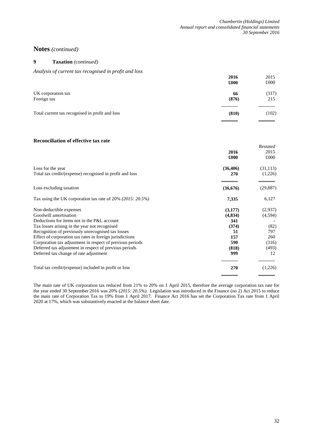# **9 Taxation** *(continued)*

*Analysis of current tax recognised in profit and loss*

|                                                 | 2016<br>£000 | 2015<br>£000 |
|-------------------------------------------------|--------------|--------------|
| UK corporation tax<br>Foreign tax               | 66<br>(876)  | (317)<br>215 |
| Total current tax recognised in profit and loss | (810)        | (102)        |

#### **Reconciliation of effective tax rate**

|                                                            |           | Restated  |
|------------------------------------------------------------|-----------|-----------|
|                                                            | 2016      | 2015      |
|                                                            | £000      | £000      |
| Loss for the year                                          | (36, 406) | (31, 113) |
| Total tax credit/(expense) recognised in profit and loss   | 270       | (1,226)   |
| Loss excluding taxation                                    | (36,676)  | (29, 887) |
| Tax using the UK corporation tax rate of 20% (2015: 20.5%) | 7,335     | 6,127     |
| Non-deductible expenses                                    | (3,177)   | (2,937)   |
| Goodwill amortisation                                      | (4,834)   | (4,594)   |
| Deductions for items not in the P&L account                | 341       |           |
| Tax losses arising in the year not recognised              | (374)     | (82)      |
| Recognition of previously unrecognised tax losses          | 51        | 797       |
| Effect of corporation tax rates in foreign jurisdictions   | 157       | 260       |
| Corporation tax adjustment in respect of previous periods  | 590       | (316)     |
| Deferred tax adjustment in respect of previous periods     | (818)     | (493)     |
| Deferred tax change of rate adjustment                     | 999       | 12        |
| Total tax credit/(expense) included in profit or loss      | 270       | (1,226)   |
|                                                            |           |           |

The main rate of UK corporation tax reduced from 21% to 20% on 1 April 2015, therefore the average corporation tax rate for the year ended 30 September 2016 was 20% *(2015: 20.5%)*. Legislation was introduced in the Finance (no 2) Act 2015 to reduce the main rate of Corporation Tax to 19% from 1 April 2017. Finance Act 2016 has set the Corporation Tax rate from 1 April 2020 at 17%, which was substantively enacted at the balance sheet date.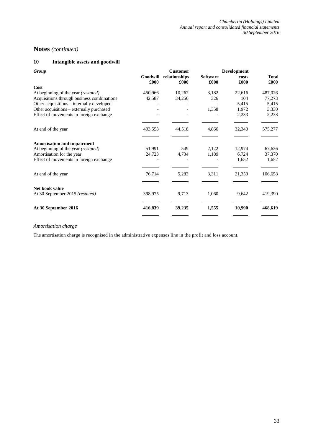# **10 Intangible assets and goodwill**

| Group                                      |                  | <b>Customer</b>       |                         |               |                      |
|--------------------------------------------|------------------|-----------------------|-------------------------|---------------|----------------------|
|                                            | Goodwill<br>£000 | relationships<br>£000 | <b>Software</b><br>£000 | costs<br>£000 | <b>Total</b><br>£000 |
| Cost                                       |                  |                       |                         |               |                      |
| At beginning of the year (restated)        | 450,966          | 10,262                | 3,182                   | 22,616        | 487,026              |
| Acquisitions through business combinations | 42,587           | 34,256                | 326                     | 104           | 77,273               |
| Other acquisitions - internally developed  |                  |                       |                         | 5,415         | 5,415                |
| Other acquisitions - externally purchased  |                  |                       | 1,358                   | 1,972         | 3,330                |
| Effect of movements in foreign exchange    |                  |                       |                         | 2,233         | 2,233                |
| At end of the year                         | 493,553          | 44,518                | 4,866                   | 32,340        | 575,277              |
| <b>Amortisation and impairment</b>         |                  |                       |                         |               |                      |
| At beginning of the year (restated)        | 51,991           | 549                   | 2,122                   | 12,974        | 67,636               |
| Amortisation for the year                  | 24,723           | 4,734                 | 1,189                   | 6,724         | 37,370               |
| Effect of movements in foreign exchange    |                  |                       |                         | 1,652         | 1,652                |
| At end of the year                         | 76,714           | 5,283                 | 3,311                   | 21,350        | 106,658              |
| Net book value                             |                  |                       |                         |               |                      |
| At 30 September 2015 (restated)            | 398,975          | 9,713                 | 1,060                   | 9,642         | 419,390              |
| At 30 September 2016                       | 416,839          | 39,235                | 1,555                   | 10,990        | 468,619              |
|                                            |                  |                       |                         |               |                      |

#### *Amortisation charge*

The amortisation charge is recognised in the administrative expenses line in the profit and loss account.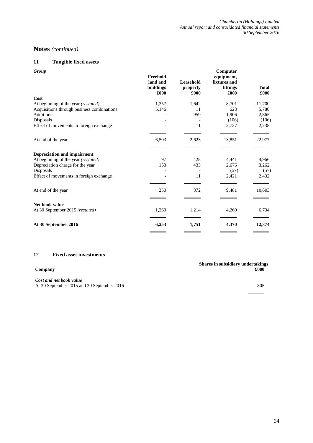# **11 Tangible fixed assets**

| Group                                      | Freehold<br>land and | Leasehold        | Computer<br>equipment,<br>fixtures and |                      |
|--------------------------------------------|----------------------|------------------|----------------------------------------|----------------------|
|                                            | buildings<br>£000    | property<br>£000 | fittings<br>£000                       | <b>Total</b><br>£000 |
| Cost                                       |                      |                  |                                        |                      |
| At beginning of the year (restated)        | 1,357                | 1,642            | 8,701                                  | 11,700               |
| Acquisitions through business combinations | 5,146                | 11               | 623                                    | 5,780                |
| <b>Additions</b>                           |                      | 959              | 1,906                                  | 2,865                |
| Disposals                                  |                      |                  | (106)                                  | (106)                |
| Effect of movements in foreign exchange    |                      | 11               | 2,727                                  | 2,738                |
| At end of the year                         | 6,503                | 2,623            | 13,851                                 | 22,977               |
|                                            |                      |                  |                                        |                      |
| <b>Depreciation and impairment</b>         |                      |                  |                                        |                      |
| At beginning of the year (restated)        | 97                   | 428              | 4,441                                  | 4,966                |
| Depreciation charge for the year           | 153                  | 433              | 2,676                                  | 3,262                |
| Disposals                                  |                      |                  | (57)                                   | (57)                 |
| Effect of movements in foreign exchange    |                      | 11               | 2,421                                  | 2,432                |
| At end of the year                         | 250                  | 872              | 9,481                                  | 10,603               |
|                                            |                      |                  |                                        |                      |
| Net book value                             |                      |                  |                                        |                      |
| At 30 September 2015 (restated)            | 1,260                | 1,214            | 4,260                                  | 6,734                |
| At 30 September 2016                       | 6,253                | 1,751            | 4,370                                  | 12,374               |
|                                            |                      |                  |                                        |                      |

# **12 Fixed asset investments**

*Cost and net book value* At 30 September 2015 and 30 September 2016 805

**Shares in subsidiary undertakings Company £000**

l.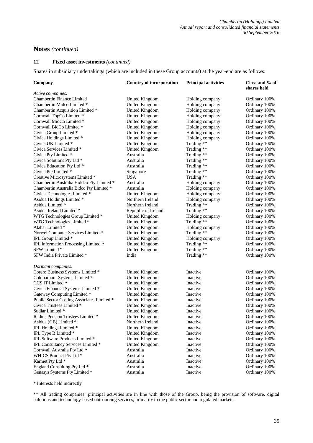# **12 Fixed asset investments** *(continued)*

Shares in subsidiary undertakings (which are included in these Group accounts) at the year-end are as follows:

| Company                                    | <b>Country of incorporation</b> | <b>Principal activities</b> | Class and % of<br>shares held |
|--------------------------------------------|---------------------------------|-----------------------------|-------------------------------|
| Active companies:                          |                                 |                             |                               |
| <b>Chambertin Finance Limited</b>          | United Kingdom                  | Holding company             | Ordinary 100%                 |
| Chambertin Midco Limited *                 | United Kingdom                  | Holding company             | Ordinary 100%                 |
| Chambertin Acquisition Limited *           | <b>United Kingdom</b>           | Holding company             | Ordinary 100%                 |
| Cornwall TopCo Limited *                   | United Kingdom                  | Holding company             | Ordinary 100%                 |
| Cornwall MidCo Limited *                   | United Kingdom                  | Holding company             | Ordinary 100%                 |
| Cornwall BidCo Limited *                   | United Kingdom                  | Holding company             | Ordinary 100%                 |
| Civica Group Limited *                     | <b>United Kingdom</b>           | Holding company             | Ordinary 100%                 |
| Civica Holdings Limited *                  | United Kingdom                  | Holding company             | Ordinary 100%                 |
| Civica UK Limited *                        | United Kingdom                  | Trading **                  | Ordinary 100%                 |
| Civica Services Limited *                  | <b>United Kingdom</b>           | Trading **                  | Ordinary 100%                 |
| Civica Pty Limited *                       | Australia                       | Trading **                  | Ordinary 100%                 |
| Civica Solutions Pty Ltd *                 | Australia                       | Trading **                  | Ordinary 100%                 |
| Civica Education Pty Ltd *                 | Australia                       | Trading **                  | Ordinary 100%                 |
| Civica Pte Limited *                       | Singapore                       | Trading **                  | Ordinary 100%                 |
| Creative Microsystems Limited *            | USA                             | Trading **                  | Ordinary 100%                 |
| Chambertin Australia Holdco Pty Limited *  | Australia                       | Holding company             | Ordinary 100%                 |
| Chambertin Australia Bidco Pty Limited *   | Australia                       | Holding company             | Ordinary 100%                 |
| Civica Technologies Limited *              | United Kingdom                  | Holding company             | Ordinary 100%                 |
| Asidua Holdings Limited *                  | Northern Ireland                | Holding company             | Ordinary 100%                 |
| Asidua Limited *                           | Northern Ireland                | Trading **                  | Ordinary 100%                 |
| Asidua Ireland Limited *                   | Republic of Ireland             | Trading **                  | Ordinary 100%                 |
| WTG Technologies Group Limited *           | United Kingdom                  | Holding company             | Ordinary 100%                 |
| WTG Technologies Limited *                 | United Kingdom                  | Trading **                  | Ordinary 100%                 |
| Alahar Limited *                           | United Kingdom                  | Holding company             | Ordinary 100%                 |
| Norwel Computer Services Limited *         | United Kingdom                  | Trading **                  | Ordinary 100%                 |
| IPL Group Limited *                        | United Kingdom                  | Holding company             | Ordinary 100%                 |
| IPL Information Processing Limited *       | United Kingdom                  | Trading **                  | Ordinary 100%                 |
| SFW Limited *                              | <b>United Kingdom</b>           | Trading **                  | Ordinary 100%                 |
| SFW India Private Limited *                | India                           | Trading **                  | Ordinary 100%                 |
| Dormant companies:                         |                                 |                             |                               |
| Corero Business Systems Limited *          | United Kingdom                  | Inactive                    | Ordinary 100%                 |
| Coldharbour Systems Limited *              | <b>United Kingdom</b>           | Inactive                    | Ordinary 100%                 |
| CCS IT Limited *                           | <b>United Kingdom</b>           | Inactive                    | Ordinary 100%                 |
| Civica Financial Systems Limited *         | United Kingdom                  | Inactive                    | Ordinary 100%                 |
| Gateway Computing Limited *                | United Kingdom                  | Inactive                    | Ordinary 100%                 |
| Public Sector Costing Associates Limited * | United Kingdom                  | Inactive                    | Ordinary 100%                 |
| Civica Trustees Limited *                  | <b>United Kingdom</b>           | Inactive                    | Ordinary 100%                 |
| Sudiar Limited *                           | United Kingdom                  | Inactive                    | Ordinary 100%                 |
| Radius Pension Trustees Limited *          | <b>United Kingdom</b>           | Inactive                    | Ordinary 100%                 |
| Asidua (GB) Limited *                      | Northern Ireland                | Inactive                    | Ordinary 100%                 |
| IPL Holdings Limited *                     | United Kingdom                  | Inactive                    | Ordinary 100%                 |
| IPL Type B Limited *                       | United Kingdom                  | Inactive                    | Ordinary 100%                 |
| IPL Software Products Limited *            | United Kingdom                  | Inactive                    | Ordinary 100%                 |
| IPL Consultancy Services Limited *         | United Kingdom                  | Inactive                    | Ordinary 100%                 |
| Cornwall Australia Pty Ltd *               | Australia                       | Inactive                    | Ordinary 100%                 |
| WHICS Product Pty Ltd *                    | Australia                       | Inactive                    | Ordinary 100%                 |
| Karmet Pty Ltd *                           | Australia                       | Inactive                    | Ordinary 100%                 |
| England Consulting Pty Ltd *               | Australia                       | Inactive                    | Ordinary 100%                 |
| Genasys Systems Pty Limited *              | Australia                       | Inactive                    | Ordinary 100%                 |
|                                            |                                 |                             |                               |

\* Interests held indirectly

\*\* All trading companies' principal activities are in line with those of the Group, being the provision of software, digital solutions and technology-based outsourcing services, primarily to the public sector and regulated markets.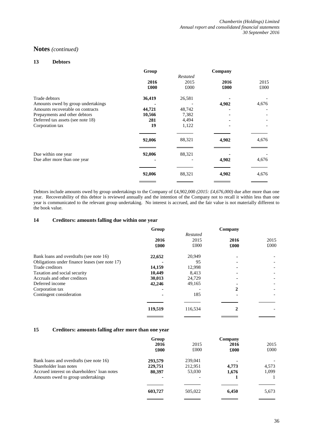#### **13 Debtors**

|                                    | Group  |          | Company |       |
|------------------------------------|--------|----------|---------|-------|
|                                    |        | Restated |         |       |
|                                    | 2016   | 2015     | 2016    | 2015  |
|                                    | £000   | £000     | £000    | £000  |
| Trade debtors                      | 36,419 | 26,581   |         |       |
| Amounts owed by group undertakings |        |          | 4,902   | 4,676 |
| Amounts recoverable on contracts   | 44,721 | 48,742   |         |       |
| Prepayments and other debtors      | 10,566 | 7,382    |         |       |
| Deferred tax assets (see note 18)  | 281    | 4,494    |         |       |
| Corporation tax                    | 19     | 1,122    |         |       |
|                                    | 92,006 | 88,321   | 4,902   | 4,676 |
| Due within one year                | 92,006 | 88,321   |         |       |
| Due after more than one year       |        |          | 4,902   | 4,676 |
|                                    | 92,006 | 88,321   | 4,902   | 4,676 |
|                                    |        |          |         |       |

Debtors include amounts owed by group undertakings to the Company of £4,902,000 *(2015: £4,676,000)* due after more than one year. Recoverability of this debtor is reviewed annually and the intention of the Company not to recall it within less than one year is communicated to the relevant group undertaking. No interest is accrued, and the fair value is not materially different to the book value.

#### **14 Creditors: amounts falling due within one year**

|                                                | Group   |          | Company |      |
|------------------------------------------------|---------|----------|---------|------|
|                                                |         | Restated |         |      |
|                                                | 2016    | 2015     | 2016    | 2015 |
|                                                | £000    | £000     | £000    | £000 |
| Bank loans and overdrafts (see note 16)        | 22,652  | 20,949   |         |      |
| Obligations under finance leases (see note 17) |         | 95       |         |      |
| Trade creditors                                | 14,159  | 12,998   |         |      |
| Taxation and social security                   | 10,449  | 8,413    |         |      |
| Accruals and other creditors                   | 30,013  | 24,729   |         |      |
| Deferred income                                | 42,246  | 49,165   |         |      |
| Corporation tax                                |         |          | 2       |      |
| Contingent consideration                       |         | 185      |         |      |
|                                                |         |          |         |      |
|                                                | 119,519 | 116,534  |         |      |
|                                                |         |          |         |      |

#### **15 Creditors: amounts falling after more than one year**

|                                              | Group   |         | Company |       |
|----------------------------------------------|---------|---------|---------|-------|
|                                              | 2016    | 2015    | 2016    | 2015  |
|                                              | £000    | £000    | £000    | £000  |
| Bank loans and overdrafts (see note 16)      | 293,579 | 239,041 | ٠       |       |
| Shareholder loan notes                       | 229,751 | 212,951 | 4.773   | 4,573 |
| Accrued interest on shareholders' loan notes | 80,397  | 53,030  | 1,676   | 1,099 |
| Amounts owed to group undertakings           |         |         |         |       |
|                                              | 603,727 | 505,022 | 6,450   | 5,673 |
|                                              |         |         |         |       |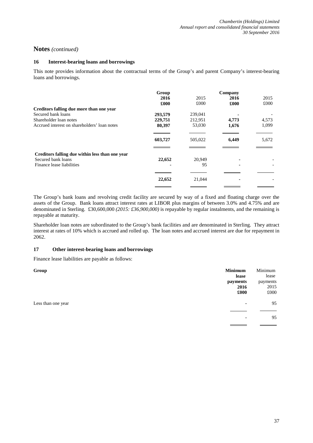### **16 Interest-bearing loans and borrowings**

This note provides information about the contractual terms of the Group's and parent Company's interest-bearing loans and borrowings.

|                                                 | Group<br>2016<br>£000 | 2015<br>£000 | Company<br>2016<br>£000 | 2015<br>£000 |
|-------------------------------------------------|-----------------------|--------------|-------------------------|--------------|
| Creditors falling due more than one year        |                       |              |                         |              |
| Secured bank loans                              | 293,579               | 239,041      |                         |              |
| Shareholder loan notes                          | 229,751               | 212,951      | 4,773                   | 4,573        |
| Accrued interest on shareholders' loan notes    | 80,397                | 53,030       | 1,676                   | 1,099        |
|                                                 |                       |              |                         |              |
|                                                 | 603,727               | 505,022      | 6,449                   | 5,672        |
|                                                 |                       |              |                         |              |
| Creditors falling due within less than one year |                       |              |                         |              |
| Secured bank loans                              | 22,652                | 20,949       |                         |              |
| Finance lease liabilities                       |                       | 95           |                         |              |
|                                                 |                       |              |                         |              |
|                                                 | 22,652                | 21,044       |                         |              |
|                                                 |                       |              |                         |              |

The Group's bank loans and revolving credit facility are secured by way of a fixed and floating charge over the assets of the Group. Bank loans attract interest rates at LIBOR plus margins of between 3.0% and 4.75% and are denominated in Sterling. £30,600,000 *(2015: £36,900,000)* is repayable by regular instalments, and the remaining is repayable at maturity.

Shareholder loan notes are subordinated to the Group's bank facilities and are denominated in Sterling. They attract interest at rates of 10% which is accrued and rolled up. The loan notes and accrued interest are due for repayment in 2062.

### **17 Other interest-bearing loans and borrowings**

Finance lease liabilities are payable as follows:

| Group              | <b>Minimum</b> | Minimum  |
|--------------------|----------------|----------|
|                    | lease          | lease    |
|                    | payments       | payments |
|                    | 2016           | 2015     |
|                    | £000           | £000     |
| Less than one year | ٠              | 95       |
|                    |                |          |
|                    | ۰              | 95       |
|                    |                |          |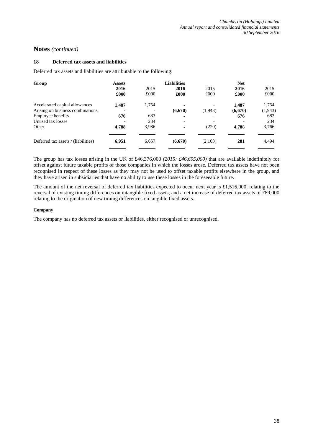#### **18 Deferred tax assets and liabilities**

Deferred tax assets and liabilities are attributable to the following:

| Group                               | <b>Assets</b> |       | <b>Liabilities</b> |                          | <b>Net</b> |         |
|-------------------------------------|---------------|-------|--------------------|--------------------------|------------|---------|
|                                     | 2016          | 2015  | 2016               | 2015                     | 2016       | 2015    |
|                                     | £000          | £000  | £000               | £000                     | £000       | £000    |
| Accelerated capital allowances      | 1,487         | 1,754 |                    |                          | 1,487      | 1,754   |
| Arising on business combinations    |               |       | (6,670)            | (1, 943)                 | (6,670)    | (1,943) |
| Employee benefits                   | 676           | 683   | ٠                  | -                        | 676        | 683     |
| Unused tax losses                   |               | 234   | ٠                  | $\overline{\phantom{a}}$ |            | 234     |
| Other                               | 4,788         | 3,986 | ۰                  | (220)                    | 4,788      | 3,766   |
| Deferred tax assets / (liabilities) | 6,951         | 6,657 | (6,670)            | (2,163)                  | 281        | 4,494   |
|                                     |               |       |                    |                          |            |         |

The group has tax losses arising in the UK of £46,376,000 *(2015: £46,695,000)* that are available indefinitely for offset against future taxable profits of those companies in which the losses arose. Deferred tax assets have not been recognised in respect of these losses as they may not be used to offset taxable profits elsewhere in the group, and they have arisen in subsidiaries that have no ability to use these losses in the foreseeable future.

The amount of the net reversal of deferred tax liabilities expected to occur next year is £1,516,000, relating to the reversal of existing timing differences on intangible fixed assets, and a net increase of deferred tax assets of £89,000 relating to the origination of new timing differences on tangible fixed assets.

#### **Company**

The company has no deferred tax assets or liabilities, either recognised or unrecognised.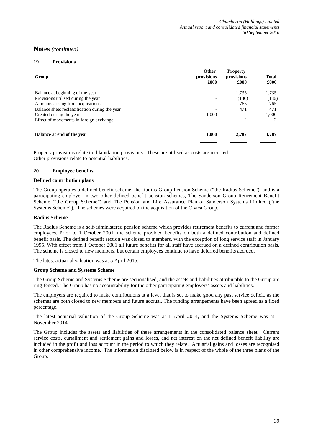#### **19 Provisions**

| Group                                          | Other<br>provisions<br>£000 | <b>Property</b><br>provisions<br>£000 | <b>Total</b><br>£000   |
|------------------------------------------------|-----------------------------|---------------------------------------|------------------------|
| Balance at beginning of the year               |                             | 1,735                                 | 1,735                  |
| Provisions utilised during the year            |                             | (186)                                 | (186)                  |
| Amounts arising from acquisitions              |                             | 765                                   | 765                    |
| Balance sheet reclassification during the year |                             | 471                                   | 471                    |
| Created during the year                        | 1,000                       |                                       | 1,000                  |
| Effect of movements in foreign exchange        |                             | $\overline{c}$                        | $\mathfrak{D}_{\cdot}$ |
| Balance at end of the year                     | 1,000                       | 2.787                                 | 3,787                  |

Property provisions relate to dilapidation provisions. These are utilised as costs are incurred. Other provisions relate to potential liabilities.

#### **20 Employee benefits**

#### **Defined contribution plans**

The Group operates a defined benefit scheme, the Radius Group Pension Scheme ("the Radius Scheme"), and is a participating employer in two other defined benefit pension schemes, The Sanderson Group Retirement Benefit Scheme ("the Group Scheme") and The Pension and Life Assurance Plan of Sanderson Systems Limited ("the Systems Scheme"). The schemes were acquired on the acquisition of the Civica Group.

#### **Radius Scheme**

The Radius Scheme is a self-administered pension scheme which provides retirement benefits to current and former employees. Prior to 1 October 2001, the scheme provided benefits on both a defined contribution and defined benefit basis. The defined benefit section was closed to members, with the exception of long service staff in January 1995. With effect from 1 October 2001 all future benefits for all staff have accrued on a defined contribution basis. The scheme is closed to new members, but certain employees continue to have deferred benefits accrued.

The latest actuarial valuation was at 5 April 2015.

#### **Group Scheme and Systems Scheme**

The Group Scheme and Systems Scheme are sectionalised, and the assets and liabilities attributable to the Group are ring-fenced. The Group has no accountability for the other participating employers' assets and liabilities.

The employers are required to make contributions at a level that is set to make good any past service deficit, as the schemes are both closed to new members and future accrual. The funding arrangements have been agreed as a fixed percentage.

The latest actuarial valuation of the Group Scheme was at 1 April 2014, and the Systems Scheme was at 1 November 2014.

The Group includes the assets and liabilities of these arrangements in the consolidated balance sheet. Current service costs, curtailment and settlement gains and losses, and net interest on the net defined benefit liability are included in the profit and loss account in the period to which they relate. Actuarial gains and losses are recognised in other comprehensive income. The information disclosed below is in respect of the whole of the three plans of the Group.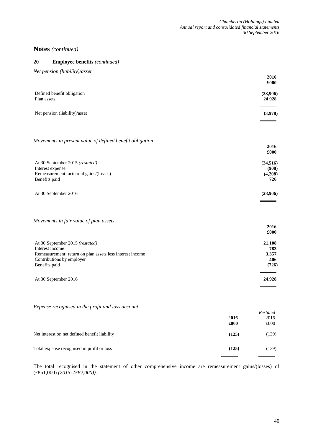#### **20 Employee benefits** *(continued)*

| Net pension (liability)/asset                                                                                   |                                      |
|-----------------------------------------------------------------------------------------------------------------|--------------------------------------|
|                                                                                                                 | 2016<br>£000                         |
| Defined benefit obligation<br>Plan assets                                                                       | (28,906)<br>24,928                   |
| Net pension (liability)/asset                                                                                   | (3,978)                              |
| Movements in present value of defined benefit obligation                                                        | 2016                                 |
|                                                                                                                 | £000                                 |
| At 30 September 2015 (restated)<br>Interest expense<br>Remeasurement: actuarial gains/(losses)<br>Benefits paid | (24, 516)<br>(908)<br>(4,208)<br>726 |
| At 30 September 2016                                                                                            | (28,906)                             |
| Movements in fair value of plan assets                                                                          |                                      |
|                                                                                                                 | 2016<br>£000                         |
| At 30 September 2015 (restated)<br>Interest income                                                              | 21,108<br>783                        |
| Remeasurement: return on plan assets less interest income<br>Contributions by employer<br>Benefits paid         | 3,357<br>406<br>(726)                |
| At 30 September 2016                                                                                            | 24,928                               |

*Expense recognised in the profit and loss account*

|                                               | 2016<br>£000 | Restated<br>2015<br>£000 |
|-----------------------------------------------|--------------|--------------------------|
| Net interest on net defined benefit liability | (125)        | (139)                    |
| Total expense recognised in profit or loss    | (125)        | (139)                    |

The total recognised in the statement of other comprehensive income are remeasurement gains/(losses) of (£851,000) *(2015: (£82,000))*.

l.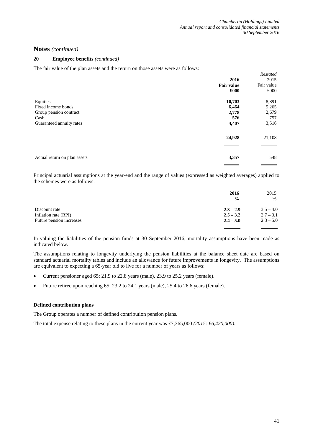### **20 Employee benefits** *(continued)*

The fair value of the plan assets and the return on those assets were as follows:

|                              |                   | Restated   |
|------------------------------|-------------------|------------|
|                              | 2016              | 2015       |
|                              | <b>Fair value</b> | Fair value |
|                              | £000              | £000       |
| Equities                     | 10,703            | 8,891      |
| Fixed income bonds           | 6,464             | 5,265      |
| Group pension contract       | 2,778             | 2,679      |
| Cash                         | 576               | 757        |
| Guaranteed annuity rates     | 4,407             | 3,516      |
|                              | 24,928            | 21,108     |
| Actual return on plan assets | 3,357             | 548        |

Principal actuarial assumptions at the year-end and the range of values (expressed as weighted averages) applied to the schemes were as follows:

|                          | 2016          | 2015        |
|--------------------------|---------------|-------------|
|                          | $\frac{0}{0}$ | %           |
| Discount rate            | $2.3 - 2.9$   | $3.5 - 4.0$ |
| Inflation rate (RPI)     | $2.5 - 3.2$   | $2.7 - 3.1$ |
| Future pension increases | $2.4 - 5.0$   | $2.3 - 5.0$ |
|                          |               |             |

In valuing the liabilities of the pension funds at 30 September 2016, mortality assumptions have been made as indicated below.

The assumptions relating to longevity underlying the pension liabilities at the balance sheet date are based on standard actuarial mortality tables and include an allowance for future improvements in longevity. The assumptions are equivalent to expecting a 65-year old to live for a number of years as follows:

- Current pensioner aged 65: 21.9 to 22.8 years (male), 23.9 to 25.2 years (female).
- Future retiree upon reaching 65: 23.2 to 24.1 years (male), 25.4 to 26.6 years (female).

#### **Defined contribution plans**

The Group operates a number of defined contribution pension plans.

The total expense relating to these plans in the current year was £7,365,000 *(2015: £6,420,000).*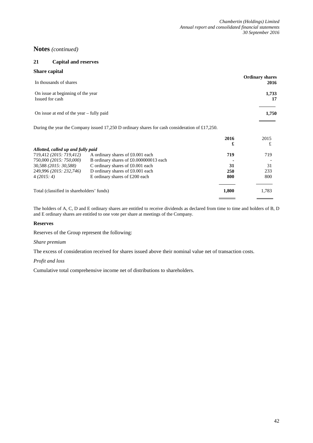# **21 Capital and reserves**

| <b>Share capital</b>                       |                                                                                                |      |                        |
|--------------------------------------------|------------------------------------------------------------------------------------------------|------|------------------------|
|                                            |                                                                                                |      | <b>Ordinary shares</b> |
| In thousands of shares                     |                                                                                                |      | 2016                   |
| On issue at beginning of the year          |                                                                                                |      | 1,733                  |
| Issued for cash                            |                                                                                                |      | 17                     |
| On issue at end of the year $-$ fully paid |                                                                                                |      | 1,750                  |
|                                            |                                                                                                |      |                        |
|                                            | During the year the Company issued 17,250 D ordinary shares for cash consideration of £17,250. |      |                        |
|                                            |                                                                                                | 2016 | 2015                   |
|                                            |                                                                                                | £    | £                      |
| Allotted, called up and fully paid         |                                                                                                |      |                        |
| 719,412 (2015: 719,412)                    | A ordinary shares of £0.001 each                                                               | 719  | 719                    |
| 750.000 (2015) 750.000)                    | R ordinary charge of f0.000000013 agob                                                         |      |                        |

| 750,000 (2015: 750,000)                   | B ordinary shares of £0.000000013 each |       |       |
|-------------------------------------------|----------------------------------------|-------|-------|
| 30,588 (2015: 30,588)                     | C ordinary shares of $£0.001$ each     | 31    | 31    |
| 249,996 (2015: 232,746)                   | D ordinary shares of $£0.001$ each     | 250   | 233   |
| 4(2015:4)                                 | E ordinary shares of £200 each         | 800   | 800   |
| Total (classified in shareholders' funds) |                                        | 1.800 | 1.783 |
|                                           |                                        |       |       |

The holders of A, C, D and E ordinary shares are entitled to receive dividends as declared from time to time and holders of B, D and E ordinary shares are entitled to one vote per share at meetings of the Company.

#### **Reserves**

Reserves of the Group represent the following:

#### *Share premium*

The excess of consideration received for shares issued above their nominal value net of transaction costs.

#### *Profit and loss*

Cumulative total comprehensive income net of distributions to shareholders.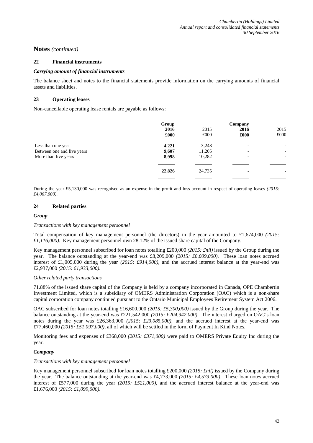#### **22 Financial instruments**

#### *Carrying amount of financial instruments*

The balance sheet and notes to the financial statements provide information on the carrying amounts of financial assets and liabilities.

#### **23 Operating leases**

Non-cancellable operating lease rentals are payable as follows:

|                            | Group  |        | Company                  |                          |
|----------------------------|--------|--------|--------------------------|--------------------------|
|                            | 2016   | 2015   | 2016                     | 2015                     |
|                            | £000   | £000   | £000                     | £000                     |
| Less than one year         | 4,221  | 3,248  |                          | $\overline{\phantom{a}}$ |
| Between one and five years | 9,607  | 11,205 | -                        | $\overline{\phantom{a}}$ |
| More than five years       | 8,998  | 10,282 |                          | $\overline{\phantom{0}}$ |
|                            |        |        |                          |                          |
|                            | 22,826 | 24,735 | $\overline{\phantom{0}}$ |                          |
|                            |        |        |                          |                          |

During the year £5,130,000 was recognised as an expense in the profit and loss account in respect of operating leases *(2015: £4,067,000)*.

### **24 Related parties**

#### *Group*

#### *Transactions with key management personnel*

Total compensation of key management personnel (the directors) in the year amounted to £1,674,000 *(2015: £1,116,000)*. Key management personnel own 28.12% of the issued share capital of the Company.

Key management personnel subscribed for loan notes totalling £200,000 *(2015: £nil)* issued by the Group during the year. The balance outstanding at the year-end was £8,209,000 *(2015: £8,009,000)*. These loan notes accrued interest of £1,005,000 during the year *(2015: £914,000)*, and the accrued interest balance at the year-end was £2,937,000 *(2015: £1,933,000)*.

#### *Other related party transactions*

71.88% of the issued share capital of the Company is held by a company incorporated in Canada, OPE Chambertin Investment Limited, which is a subsidiary of OMERS Administration Corporation (OAC) which is a non-share capital corporation company continued pursuant to the Ontario Municipal Employees Retirement System Act 2006.

OAC subscribed for loan notes totalling £16,600,000 *(2015: £5,300,000)* issued by the Group during the year. The balance outstanding at the year-end was £221,542,000 *(2015: £204,942,000)*. The interest charged on OAC's loan notes during the year was £26,363,000 *(2015: £23,085,000)*, and the accrued interest at the year-end was £77,460,000 *(2015: £51,097,000)*, all of which will be settled in the form of Payment In Kind Notes.

Monitoring fees and expenses of £368,000 *(2015: £371,000)* were paid to OMERS Private Equity Inc during the year.

#### *Company*

#### *Transactions with key management personnel*

Key management personnel subscribed for loan notes totalling £200,000 *(2015: £nil)* issued by the Company during the year. The balance outstanding at the year-end was £4,773,000 *(2015: £4,573,000)*. These loan notes accrued interest of £577,000 during the year *(2015: £521,000)*, and the accrued interest balance at the year-end was £1,676,000 *(2015: £1,099,000)*.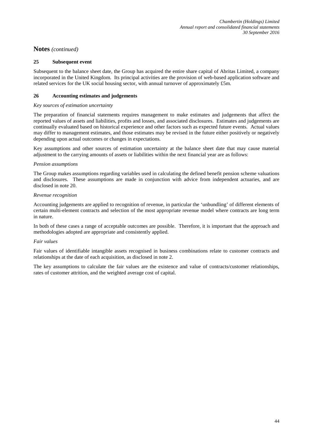#### **25 Subsequent event**

Subsequent to the balance sheet date, the Group has acquired the entire share capital of Abritas Limited, a company incorporated in the United Kingdom. Its principal activities are the provision of web-based application software and related services for the UK social housing sector, with annual turnover of approximately £5m.

### **26 Accounting estimates and judgements**

#### *Key sources of estimation uncertainty*

The preparation of financial statements requires management to make estimates and judgements that affect the reported values of assets and liabilities, profits and losses, and associated disclosures. Estimates and judgements are continually evaluated based on historical experience and other factors such as expected future events. Actual values may differ to management estimates, and those estimates may be revised in the future either positively or negatively depending upon actual outcomes or changes in expectations.

Key assumptions and other sources of estimation uncertainty at the balance sheet date that may cause material adjustment to the carrying amounts of assets or liabilities within the next financial year are as follows:

#### *Pension assumptions*

The Group makes assumptions regarding variables used in calculating the defined benefit pension scheme valuations and disclosures. These assumptions are made in conjunction with advice from independent actuaries, and are disclosed in note 20.

#### *Revenue recognition*

Accounting judgements are applied to recognition of revenue, in particular the 'unbundling' of different elements of certain multi-element contracts and selection of the most appropriate revenue model where contracts are long term in nature.

In both of these cases a range of acceptable outcomes are possible. Therefore, it is important that the approach and methodologies adopted are appropriate and consistently applied.

### *Fair values*

Fair values of identifiable intangible assets recognised in business combinations relate to customer contracts and relationships at the date of each acquisition, as disclosed in note 2.

The key assumptions to calculate the fair values are the existence and value of contracts/customer relationships, rates of customer attrition, and the weighted average cost of capital.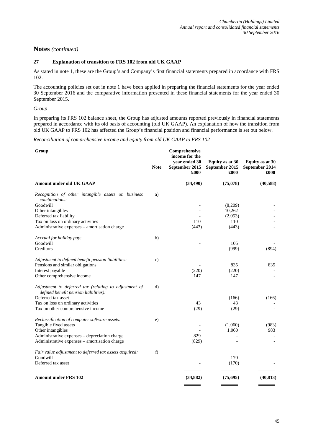# **27 Explanation of transition to FRS 102 from old UK GAAP**

As stated in note 1, these are the Group's and Company's first financial statements prepared in accordance with FRS 102.

The accounting policies set out in note 1 have been applied in preparing the financial statements for the year ended 30 September 2016 and the comparative information presented in these financial statements for the year ended 30 September 2015.

#### *Group*

In preparing its FRS 102 balance sheet, the Group has adjusted amounts reported previously in financial statements prepared in accordance with its old basis of accounting (old UK GAAP). An explanation of how the transition from old UK GAAP to FRS 102 has affected the Group's financial position and financial performance is set out below.

*Reconciliation of comprehensive income and equity from old UK GAAP to FRS 102*

| <b>Note</b> | Comprehensive<br>income for the<br>year ended 30<br>September 2015<br>£000 | Equity as at 30<br>September 2015<br>£000  | Equity as at 30<br>September 2014<br>£000                                                      |
|-------------|----------------------------------------------------------------------------|--------------------------------------------|------------------------------------------------------------------------------------------------|
|             | (34, 490)                                                                  | (75,078)                                   | (40, 588)                                                                                      |
| a)          |                                                                            |                                            |                                                                                                |
|             |                                                                            | (8,209)                                    |                                                                                                |
|             |                                                                            | 10,262                                     |                                                                                                |
|             |                                                                            | (2,053)                                    |                                                                                                |
|             | 110                                                                        | 110                                        |                                                                                                |
|             | (443)                                                                      | (443)                                      |                                                                                                |
| b)          |                                                                            |                                            |                                                                                                |
|             |                                                                            |                                            |                                                                                                |
|             |                                                                            |                                            | (894)                                                                                          |
| c)          |                                                                            |                                            |                                                                                                |
|             |                                                                            |                                            | 835                                                                                            |
|             |                                                                            |                                            |                                                                                                |
|             |                                                                            |                                            |                                                                                                |
| d)          |                                                                            |                                            |                                                                                                |
|             |                                                                            |                                            | (166)                                                                                          |
|             |                                                                            |                                            |                                                                                                |
|             |                                                                            |                                            |                                                                                                |
| e)          |                                                                            |                                            |                                                                                                |
|             |                                                                            |                                            | (983)                                                                                          |
|             |                                                                            |                                            | 983                                                                                            |
|             |                                                                            |                                            |                                                                                                |
|             |                                                                            |                                            |                                                                                                |
| f)          |                                                                            |                                            |                                                                                                |
|             |                                                                            |                                            |                                                                                                |
|             |                                                                            |                                            |                                                                                                |
|             | (34, 882)                                                                  | (75, 695)                                  | (40, 813)                                                                                      |
|             |                                                                            | (220)<br>147<br>43<br>(29)<br>829<br>(829) | 105<br>(999)<br>835<br>(220)<br>147<br>(166)<br>43<br>(29)<br>(1,060)<br>1,060<br>170<br>(170) |